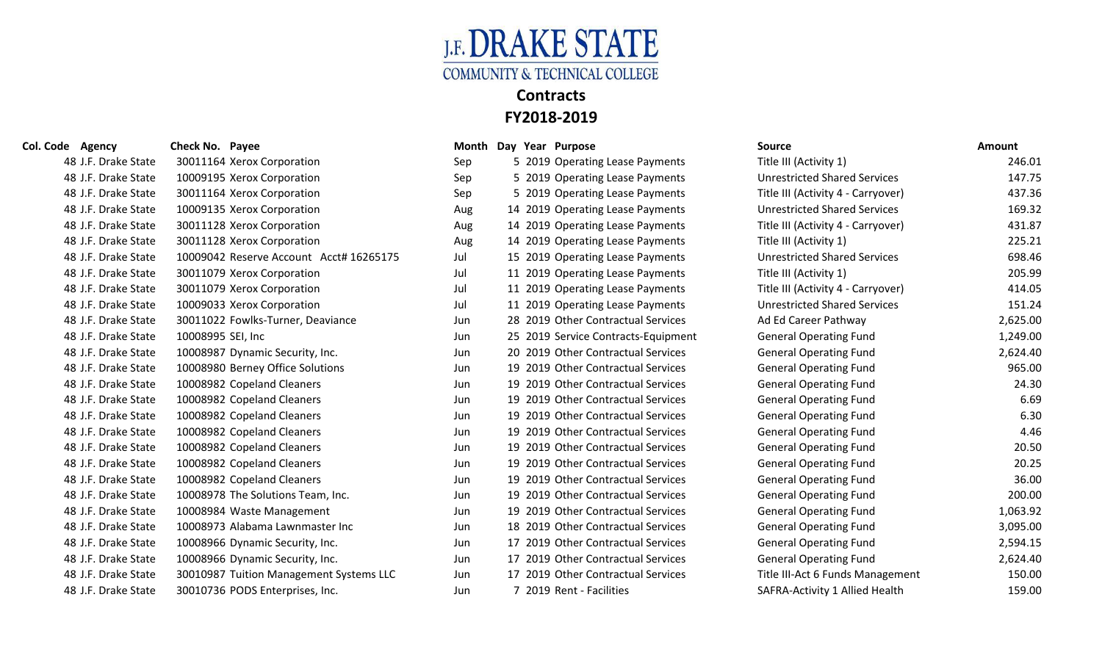

| 48 J.F. Drake State<br><b>Unrestricted Shared Services</b><br>10009195 Xerox Corporation<br>5 2019 Operating Lease Payments<br>Sep<br>48 J.F. Drake State<br>30011164 Xerox Corporation<br>Title III (Activity 4 - Carryover)<br>5 2019 Operating Lease Payments<br>Sep<br>48 J.F. Drake State<br>10009135 Xerox Corporation<br><b>Unrestricted Shared Services</b><br>14 2019 Operating Lease Payments<br>Aug<br>48 J.F. Drake State<br>30011128 Xerox Corporation<br>Title III (Activity 4 - Carryover)<br>14 2019 Operating Lease Payments<br>Aug<br>48 J.F. Drake State<br>30011128 Xerox Corporation<br>14 2019 Operating Lease Payments<br>Title III (Activity 1)<br>Aug<br>48 J.F. Drake State<br>10009042 Reserve Account Acct# 16265175<br><b>Unrestricted Shared Services</b><br>Jul<br>15 2019 Operating Lease Payments<br>48 J.F. Drake State<br>30011079 Xerox Corporation<br>11 2019 Operating Lease Payments<br>Title III (Activity 1)<br>Jul<br>Jul<br>48 J.F. Drake State<br>30011079 Xerox Corporation<br>11 2019 Operating Lease Payments<br>Title III (Activity 4 - Carryover)<br>48 J.F. Drake State<br>10009033 Xerox Corporation<br>Jul<br><b>Unrestricted Shared Services</b><br>11 2019 Operating Lease Payments<br>30011022 Fowlks-Turner, Deaviance<br>28 2019 Other Contractual Services<br>Ad Ed Career Pathway<br>48 J.F. Drake State<br>Jun<br>48 J.F. Drake State<br><b>General Operating Fund</b><br>10008995 SEI, Inc<br>25 2019 Service Contracts-Equipment<br>Jun<br>48 J.F. Drake State<br>20 2019 Other Contractual Services<br><b>General Operating Fund</b><br>10008987 Dynamic Security, Inc.<br>Jun<br>10008980 Berney Office Solutions<br>19 2019 Other Contractual Services<br>48 J.F. Drake State<br><b>General Operating Fund</b><br>Jun<br>19 2019 Other Contractual Services<br>48 J.F. Drake State<br>10008982 Copeland Cleaners<br><b>General Operating Fund</b><br>Jun<br>19 2019 Other Contractual Services<br>48 J.F. Drake State<br>10008982 Copeland Cleaners<br><b>General Operating Fund</b><br>Jun<br>48 J.F. Drake State<br>19 2019 Other Contractual Services<br>10008982 Copeland Cleaners<br><b>General Operating Fund</b><br>Jun<br>19 2019 Other Contractual Services<br>48 J.F. Drake State<br>10008982 Copeland Cleaners<br><b>General Operating Fund</b><br>Jun<br>48 J.F. Drake State<br>19 2019 Other Contractual Services<br>10008982 Copeland Cleaners<br><b>General Operating Fund</b><br>Jun<br>10008982 Copeland Cleaners<br>19 2019 Other Contractual Services<br>48 J.F. Drake State<br><b>General Operating Fund</b><br>Jun<br>19 2019 Other Contractual Services<br>48 J.F. Drake State<br>10008982 Copeland Cleaners<br><b>General Operating Fund</b><br>Jun<br>10008978 The Solutions Team, Inc.<br>19 2019 Other Contractual Services<br>48 J.F. Drake State<br><b>General Operating Fund</b><br>Jun<br>48 J.F. Drake State<br>19 2019 Other Contractual Services<br><b>General Operating Fund</b><br>10008984 Waste Management<br>Jun<br>18 2019 Other Contractual Services<br>48 J.F. Drake State<br>10008973 Alabama Lawnmaster Inc<br><b>General Operating Fund</b><br>Jun<br>48 J.F. Drake State<br>10008966 Dynamic Security, Inc.<br>17 2019 Other Contractual Services<br><b>General Operating Fund</b><br>Jun<br>17 2019 Other Contractual Services<br>48 J.F. Drake State<br>10008966 Dynamic Security, Inc.<br><b>General Operating Fund</b><br>Jun<br>17 2019 Other Contractual Services<br>48 J.F. Drake State<br>30010987 Tuition Management Systems LLC<br>Title III-Act 6 Funds Management<br>Jun<br>30010736 PODS Enterprises, Inc.<br>7 2019 Rent - Facilities<br>SAFRA-Activity 1 Allied Health<br>48 J.F. Drake State<br>Jun | 48 J.F. Drake State | 30011164 Xerox Corporation | Sep | 5 2019 Operating Lease Payments | Title III (Activity 1) | 246.01   |
|-----------------------------------------------------------------------------------------------------------------------------------------------------------------------------------------------------------------------------------------------------------------------------------------------------------------------------------------------------------------------------------------------------------------------------------------------------------------------------------------------------------------------------------------------------------------------------------------------------------------------------------------------------------------------------------------------------------------------------------------------------------------------------------------------------------------------------------------------------------------------------------------------------------------------------------------------------------------------------------------------------------------------------------------------------------------------------------------------------------------------------------------------------------------------------------------------------------------------------------------------------------------------------------------------------------------------------------------------------------------------------------------------------------------------------------------------------------------------------------------------------------------------------------------------------------------------------------------------------------------------------------------------------------------------------------------------------------------------------------------------------------------------------------------------------------------------------------------------------------------------------------------------------------------------------------------------------------------------------------------------------------------------------------------------------------------------------------------------------------------------------------------------------------------------------------------------------------------------------------------------------------------------------------------------------------------------------------------------------------------------------------------------------------------------------------------------------------------------------------------------------------------------------------------------------------------------------------------------------------------------------------------------------------------------------------------------------------------------------------------------------------------------------------------------------------------------------------------------------------------------------------------------------------------------------------------------------------------------------------------------------------------------------------------------------------------------------------------------------------------------------------------------------------------------------------------------------------------------------------------------------------------------------------------------------------------------------------------------------------------------------------------------------------------------------------------------------------------------------------------------------------------------------------------------------------------------------------------------------------------------------------------------------------------------------------------------------------------------------------|---------------------|----------------------------|-----|---------------------------------|------------------------|----------|
|                                                                                                                                                                                                                                                                                                                                                                                                                                                                                                                                                                                                                                                                                                                                                                                                                                                                                                                                                                                                                                                                                                                                                                                                                                                                                                                                                                                                                                                                                                                                                                                                                                                                                                                                                                                                                                                                                                                                                                                                                                                                                                                                                                                                                                                                                                                                                                                                                                                                                                                                                                                                                                                                                                                                                                                                                                                                                                                                                                                                                                                                                                                                                                                                                                                                                                                                                                                                                                                                                                                                                                                                                                                                                                                                   |                     |                            |     |                                 |                        | 147.75   |
|                                                                                                                                                                                                                                                                                                                                                                                                                                                                                                                                                                                                                                                                                                                                                                                                                                                                                                                                                                                                                                                                                                                                                                                                                                                                                                                                                                                                                                                                                                                                                                                                                                                                                                                                                                                                                                                                                                                                                                                                                                                                                                                                                                                                                                                                                                                                                                                                                                                                                                                                                                                                                                                                                                                                                                                                                                                                                                                                                                                                                                                                                                                                                                                                                                                                                                                                                                                                                                                                                                                                                                                                                                                                                                                                   |                     |                            |     |                                 |                        | 437.36   |
|                                                                                                                                                                                                                                                                                                                                                                                                                                                                                                                                                                                                                                                                                                                                                                                                                                                                                                                                                                                                                                                                                                                                                                                                                                                                                                                                                                                                                                                                                                                                                                                                                                                                                                                                                                                                                                                                                                                                                                                                                                                                                                                                                                                                                                                                                                                                                                                                                                                                                                                                                                                                                                                                                                                                                                                                                                                                                                                                                                                                                                                                                                                                                                                                                                                                                                                                                                                                                                                                                                                                                                                                                                                                                                                                   |                     |                            |     |                                 |                        | 169.32   |
|                                                                                                                                                                                                                                                                                                                                                                                                                                                                                                                                                                                                                                                                                                                                                                                                                                                                                                                                                                                                                                                                                                                                                                                                                                                                                                                                                                                                                                                                                                                                                                                                                                                                                                                                                                                                                                                                                                                                                                                                                                                                                                                                                                                                                                                                                                                                                                                                                                                                                                                                                                                                                                                                                                                                                                                                                                                                                                                                                                                                                                                                                                                                                                                                                                                                                                                                                                                                                                                                                                                                                                                                                                                                                                                                   |                     |                            |     |                                 |                        | 431.87   |
|                                                                                                                                                                                                                                                                                                                                                                                                                                                                                                                                                                                                                                                                                                                                                                                                                                                                                                                                                                                                                                                                                                                                                                                                                                                                                                                                                                                                                                                                                                                                                                                                                                                                                                                                                                                                                                                                                                                                                                                                                                                                                                                                                                                                                                                                                                                                                                                                                                                                                                                                                                                                                                                                                                                                                                                                                                                                                                                                                                                                                                                                                                                                                                                                                                                                                                                                                                                                                                                                                                                                                                                                                                                                                                                                   |                     |                            |     |                                 |                        | 225.21   |
|                                                                                                                                                                                                                                                                                                                                                                                                                                                                                                                                                                                                                                                                                                                                                                                                                                                                                                                                                                                                                                                                                                                                                                                                                                                                                                                                                                                                                                                                                                                                                                                                                                                                                                                                                                                                                                                                                                                                                                                                                                                                                                                                                                                                                                                                                                                                                                                                                                                                                                                                                                                                                                                                                                                                                                                                                                                                                                                                                                                                                                                                                                                                                                                                                                                                                                                                                                                                                                                                                                                                                                                                                                                                                                                                   |                     |                            |     |                                 |                        | 698.46   |
|                                                                                                                                                                                                                                                                                                                                                                                                                                                                                                                                                                                                                                                                                                                                                                                                                                                                                                                                                                                                                                                                                                                                                                                                                                                                                                                                                                                                                                                                                                                                                                                                                                                                                                                                                                                                                                                                                                                                                                                                                                                                                                                                                                                                                                                                                                                                                                                                                                                                                                                                                                                                                                                                                                                                                                                                                                                                                                                                                                                                                                                                                                                                                                                                                                                                                                                                                                                                                                                                                                                                                                                                                                                                                                                                   |                     |                            |     |                                 |                        | 205.99   |
|                                                                                                                                                                                                                                                                                                                                                                                                                                                                                                                                                                                                                                                                                                                                                                                                                                                                                                                                                                                                                                                                                                                                                                                                                                                                                                                                                                                                                                                                                                                                                                                                                                                                                                                                                                                                                                                                                                                                                                                                                                                                                                                                                                                                                                                                                                                                                                                                                                                                                                                                                                                                                                                                                                                                                                                                                                                                                                                                                                                                                                                                                                                                                                                                                                                                                                                                                                                                                                                                                                                                                                                                                                                                                                                                   |                     |                            |     |                                 |                        | 414.05   |
|                                                                                                                                                                                                                                                                                                                                                                                                                                                                                                                                                                                                                                                                                                                                                                                                                                                                                                                                                                                                                                                                                                                                                                                                                                                                                                                                                                                                                                                                                                                                                                                                                                                                                                                                                                                                                                                                                                                                                                                                                                                                                                                                                                                                                                                                                                                                                                                                                                                                                                                                                                                                                                                                                                                                                                                                                                                                                                                                                                                                                                                                                                                                                                                                                                                                                                                                                                                                                                                                                                                                                                                                                                                                                                                                   |                     |                            |     |                                 |                        | 151.24   |
|                                                                                                                                                                                                                                                                                                                                                                                                                                                                                                                                                                                                                                                                                                                                                                                                                                                                                                                                                                                                                                                                                                                                                                                                                                                                                                                                                                                                                                                                                                                                                                                                                                                                                                                                                                                                                                                                                                                                                                                                                                                                                                                                                                                                                                                                                                                                                                                                                                                                                                                                                                                                                                                                                                                                                                                                                                                                                                                                                                                                                                                                                                                                                                                                                                                                                                                                                                                                                                                                                                                                                                                                                                                                                                                                   |                     |                            |     |                                 |                        | 2,625.00 |
|                                                                                                                                                                                                                                                                                                                                                                                                                                                                                                                                                                                                                                                                                                                                                                                                                                                                                                                                                                                                                                                                                                                                                                                                                                                                                                                                                                                                                                                                                                                                                                                                                                                                                                                                                                                                                                                                                                                                                                                                                                                                                                                                                                                                                                                                                                                                                                                                                                                                                                                                                                                                                                                                                                                                                                                                                                                                                                                                                                                                                                                                                                                                                                                                                                                                                                                                                                                                                                                                                                                                                                                                                                                                                                                                   |                     |                            |     |                                 |                        | 1,249.00 |
|                                                                                                                                                                                                                                                                                                                                                                                                                                                                                                                                                                                                                                                                                                                                                                                                                                                                                                                                                                                                                                                                                                                                                                                                                                                                                                                                                                                                                                                                                                                                                                                                                                                                                                                                                                                                                                                                                                                                                                                                                                                                                                                                                                                                                                                                                                                                                                                                                                                                                                                                                                                                                                                                                                                                                                                                                                                                                                                                                                                                                                                                                                                                                                                                                                                                                                                                                                                                                                                                                                                                                                                                                                                                                                                                   |                     |                            |     |                                 |                        | 2,624.40 |
|                                                                                                                                                                                                                                                                                                                                                                                                                                                                                                                                                                                                                                                                                                                                                                                                                                                                                                                                                                                                                                                                                                                                                                                                                                                                                                                                                                                                                                                                                                                                                                                                                                                                                                                                                                                                                                                                                                                                                                                                                                                                                                                                                                                                                                                                                                                                                                                                                                                                                                                                                                                                                                                                                                                                                                                                                                                                                                                                                                                                                                                                                                                                                                                                                                                                                                                                                                                                                                                                                                                                                                                                                                                                                                                                   |                     |                            |     |                                 |                        | 965.00   |
|                                                                                                                                                                                                                                                                                                                                                                                                                                                                                                                                                                                                                                                                                                                                                                                                                                                                                                                                                                                                                                                                                                                                                                                                                                                                                                                                                                                                                                                                                                                                                                                                                                                                                                                                                                                                                                                                                                                                                                                                                                                                                                                                                                                                                                                                                                                                                                                                                                                                                                                                                                                                                                                                                                                                                                                                                                                                                                                                                                                                                                                                                                                                                                                                                                                                                                                                                                                                                                                                                                                                                                                                                                                                                                                                   |                     |                            |     |                                 |                        | 24.30    |
|                                                                                                                                                                                                                                                                                                                                                                                                                                                                                                                                                                                                                                                                                                                                                                                                                                                                                                                                                                                                                                                                                                                                                                                                                                                                                                                                                                                                                                                                                                                                                                                                                                                                                                                                                                                                                                                                                                                                                                                                                                                                                                                                                                                                                                                                                                                                                                                                                                                                                                                                                                                                                                                                                                                                                                                                                                                                                                                                                                                                                                                                                                                                                                                                                                                                                                                                                                                                                                                                                                                                                                                                                                                                                                                                   |                     |                            |     |                                 |                        | 6.69     |
|                                                                                                                                                                                                                                                                                                                                                                                                                                                                                                                                                                                                                                                                                                                                                                                                                                                                                                                                                                                                                                                                                                                                                                                                                                                                                                                                                                                                                                                                                                                                                                                                                                                                                                                                                                                                                                                                                                                                                                                                                                                                                                                                                                                                                                                                                                                                                                                                                                                                                                                                                                                                                                                                                                                                                                                                                                                                                                                                                                                                                                                                                                                                                                                                                                                                                                                                                                                                                                                                                                                                                                                                                                                                                                                                   |                     |                            |     |                                 |                        | 6.30     |
|                                                                                                                                                                                                                                                                                                                                                                                                                                                                                                                                                                                                                                                                                                                                                                                                                                                                                                                                                                                                                                                                                                                                                                                                                                                                                                                                                                                                                                                                                                                                                                                                                                                                                                                                                                                                                                                                                                                                                                                                                                                                                                                                                                                                                                                                                                                                                                                                                                                                                                                                                                                                                                                                                                                                                                                                                                                                                                                                                                                                                                                                                                                                                                                                                                                                                                                                                                                                                                                                                                                                                                                                                                                                                                                                   |                     |                            |     |                                 |                        | 4.46     |
|                                                                                                                                                                                                                                                                                                                                                                                                                                                                                                                                                                                                                                                                                                                                                                                                                                                                                                                                                                                                                                                                                                                                                                                                                                                                                                                                                                                                                                                                                                                                                                                                                                                                                                                                                                                                                                                                                                                                                                                                                                                                                                                                                                                                                                                                                                                                                                                                                                                                                                                                                                                                                                                                                                                                                                                                                                                                                                                                                                                                                                                                                                                                                                                                                                                                                                                                                                                                                                                                                                                                                                                                                                                                                                                                   |                     |                            |     |                                 |                        | 20.50    |
|                                                                                                                                                                                                                                                                                                                                                                                                                                                                                                                                                                                                                                                                                                                                                                                                                                                                                                                                                                                                                                                                                                                                                                                                                                                                                                                                                                                                                                                                                                                                                                                                                                                                                                                                                                                                                                                                                                                                                                                                                                                                                                                                                                                                                                                                                                                                                                                                                                                                                                                                                                                                                                                                                                                                                                                                                                                                                                                                                                                                                                                                                                                                                                                                                                                                                                                                                                                                                                                                                                                                                                                                                                                                                                                                   |                     |                            |     |                                 |                        | 20.25    |
|                                                                                                                                                                                                                                                                                                                                                                                                                                                                                                                                                                                                                                                                                                                                                                                                                                                                                                                                                                                                                                                                                                                                                                                                                                                                                                                                                                                                                                                                                                                                                                                                                                                                                                                                                                                                                                                                                                                                                                                                                                                                                                                                                                                                                                                                                                                                                                                                                                                                                                                                                                                                                                                                                                                                                                                                                                                                                                                                                                                                                                                                                                                                                                                                                                                                                                                                                                                                                                                                                                                                                                                                                                                                                                                                   |                     |                            |     |                                 |                        | 36.00    |
|                                                                                                                                                                                                                                                                                                                                                                                                                                                                                                                                                                                                                                                                                                                                                                                                                                                                                                                                                                                                                                                                                                                                                                                                                                                                                                                                                                                                                                                                                                                                                                                                                                                                                                                                                                                                                                                                                                                                                                                                                                                                                                                                                                                                                                                                                                                                                                                                                                                                                                                                                                                                                                                                                                                                                                                                                                                                                                                                                                                                                                                                                                                                                                                                                                                                                                                                                                                                                                                                                                                                                                                                                                                                                                                                   |                     |                            |     |                                 |                        | 200.00   |
|                                                                                                                                                                                                                                                                                                                                                                                                                                                                                                                                                                                                                                                                                                                                                                                                                                                                                                                                                                                                                                                                                                                                                                                                                                                                                                                                                                                                                                                                                                                                                                                                                                                                                                                                                                                                                                                                                                                                                                                                                                                                                                                                                                                                                                                                                                                                                                                                                                                                                                                                                                                                                                                                                                                                                                                                                                                                                                                                                                                                                                                                                                                                                                                                                                                                                                                                                                                                                                                                                                                                                                                                                                                                                                                                   |                     |                            |     |                                 |                        | 1,063.92 |
|                                                                                                                                                                                                                                                                                                                                                                                                                                                                                                                                                                                                                                                                                                                                                                                                                                                                                                                                                                                                                                                                                                                                                                                                                                                                                                                                                                                                                                                                                                                                                                                                                                                                                                                                                                                                                                                                                                                                                                                                                                                                                                                                                                                                                                                                                                                                                                                                                                                                                                                                                                                                                                                                                                                                                                                                                                                                                                                                                                                                                                                                                                                                                                                                                                                                                                                                                                                                                                                                                                                                                                                                                                                                                                                                   |                     |                            |     |                                 |                        | 3,095.00 |
|                                                                                                                                                                                                                                                                                                                                                                                                                                                                                                                                                                                                                                                                                                                                                                                                                                                                                                                                                                                                                                                                                                                                                                                                                                                                                                                                                                                                                                                                                                                                                                                                                                                                                                                                                                                                                                                                                                                                                                                                                                                                                                                                                                                                                                                                                                                                                                                                                                                                                                                                                                                                                                                                                                                                                                                                                                                                                                                                                                                                                                                                                                                                                                                                                                                                                                                                                                                                                                                                                                                                                                                                                                                                                                                                   |                     |                            |     |                                 |                        | 2,594.15 |
|                                                                                                                                                                                                                                                                                                                                                                                                                                                                                                                                                                                                                                                                                                                                                                                                                                                                                                                                                                                                                                                                                                                                                                                                                                                                                                                                                                                                                                                                                                                                                                                                                                                                                                                                                                                                                                                                                                                                                                                                                                                                                                                                                                                                                                                                                                                                                                                                                                                                                                                                                                                                                                                                                                                                                                                                                                                                                                                                                                                                                                                                                                                                                                                                                                                                                                                                                                                                                                                                                                                                                                                                                                                                                                                                   |                     |                            |     |                                 |                        | 2,624.40 |
|                                                                                                                                                                                                                                                                                                                                                                                                                                                                                                                                                                                                                                                                                                                                                                                                                                                                                                                                                                                                                                                                                                                                                                                                                                                                                                                                                                                                                                                                                                                                                                                                                                                                                                                                                                                                                                                                                                                                                                                                                                                                                                                                                                                                                                                                                                                                                                                                                                                                                                                                                                                                                                                                                                                                                                                                                                                                                                                                                                                                                                                                                                                                                                                                                                                                                                                                                                                                                                                                                                                                                                                                                                                                                                                                   |                     |                            |     |                                 |                        | 150.00   |
|                                                                                                                                                                                                                                                                                                                                                                                                                                                                                                                                                                                                                                                                                                                                                                                                                                                                                                                                                                                                                                                                                                                                                                                                                                                                                                                                                                                                                                                                                                                                                                                                                                                                                                                                                                                                                                                                                                                                                                                                                                                                                                                                                                                                                                                                                                                                                                                                                                                                                                                                                                                                                                                                                                                                                                                                                                                                                                                                                                                                                                                                                                                                                                                                                                                                                                                                                                                                                                                                                                                                                                                                                                                                                                                                   |                     |                            |     |                                 |                        | 159.00   |

| e agency            | Check No. Payee                         |     | ivionth Day Year Purpose            | source                              | Amount   |
|---------------------|-----------------------------------------|-----|-------------------------------------|-------------------------------------|----------|
| 48 J.F. Drake State | 30011164 Xerox Corporation              | Sep | 5 2019 Operating Lease Payments     | Title III (Activity 1)              | 246.01   |
| 48 J.F. Drake State | 10009195 Xerox Corporation              | Sep | 5 2019 Operating Lease Payments     | <b>Unrestricted Shared Services</b> | 147.75   |
| 48 J.F. Drake State | 30011164 Xerox Corporation              | Sep | 5 2019 Operating Lease Payments     | Title III (Activity 4 - Carryover)  | 437.36   |
| 48 J.F. Drake State | 10009135 Xerox Corporation              | Aug | 14 2019 Operating Lease Payments    | <b>Unrestricted Shared Services</b> | 169.32   |
| 48 J.F. Drake State | 30011128 Xerox Corporation              | Aug | 14 2019 Operating Lease Payments    | Title III (Activity 4 - Carryover)  | 431.87   |
| 48 J.F. Drake State | 30011128 Xerox Corporation              | Aug | 14 2019 Operating Lease Payments    | Title III (Activity 1)              | 225.21   |
| 48 J.F. Drake State | 10009042 Reserve Account Acct# 16265175 | Jul | 15 2019 Operating Lease Payments    | <b>Unrestricted Shared Services</b> | 698.46   |
| 48 J.F. Drake State | 30011079 Xerox Corporation              | Jul | 11 2019 Operating Lease Payments    | Title III (Activity 1)              | 205.99   |
| 48 J.F. Drake State | 30011079 Xerox Corporation              | Jul | 11 2019 Operating Lease Payments    | Title III (Activity 4 - Carryover)  | 414.05   |
| 48 J.F. Drake State | 10009033 Xerox Corporation              | Jul | 11 2019 Operating Lease Payments    | <b>Unrestricted Shared Services</b> | 151.24   |
| 48 J.F. Drake State | 30011022 Fowlks-Turner, Deaviance       | Jun | 28 2019 Other Contractual Services  | Ad Ed Career Pathway                | 2,625.00 |
| 48 J.F. Drake State | 10008995 SEI, Inc                       | Jun | 25 2019 Service Contracts-Equipment | <b>General Operating Fund</b>       | 1,249.00 |
| 48 J.F. Drake State | 10008987 Dynamic Security, Inc.         | Jun | 20 2019 Other Contractual Services  | <b>General Operating Fund</b>       | 2,624.40 |
| 48 J.F. Drake State | 10008980 Berney Office Solutions        | Jun | 19 2019 Other Contractual Services  | <b>General Operating Fund</b>       | 965.00   |
| 48 J.F. Drake State | 10008982 Copeland Cleaners              | Jun | 19 2019 Other Contractual Services  | <b>General Operating Fund</b>       | 24.30    |
| 48 J.F. Drake State | 10008982 Copeland Cleaners              | Jun | 19 2019 Other Contractual Services  | <b>General Operating Fund</b>       | 6.69     |
| 48 J.F. Drake State | 10008982 Copeland Cleaners              | Jun | 19 2019 Other Contractual Services  | <b>General Operating Fund</b>       | 6.30     |
| 48 J.F. Drake State | 10008982 Copeland Cleaners              | Jun | 19 2019 Other Contractual Services  | <b>General Operating Fund</b>       | 4.46     |
| 48 J.F. Drake State | 10008982 Copeland Cleaners              | Jun | 19 2019 Other Contractual Services  | <b>General Operating Fund</b>       | 20.50    |
| 48 J.F. Drake State | 10008982 Copeland Cleaners              | Jun | 19 2019 Other Contractual Services  | <b>General Operating Fund</b>       | 20.25    |
| 48 J.F. Drake State | 10008982 Copeland Cleaners              | Jun | 19 2019 Other Contractual Services  | <b>General Operating Fund</b>       | 36.00    |
| 48 J.F. Drake State | 10008978 The Solutions Team, Inc.       | Jun | 19 2019 Other Contractual Services  | <b>General Operating Fund</b>       | 200.00   |
| 48 J.F. Drake State | 10008984 Waste Management               | Jun | 19 2019 Other Contractual Services  | <b>General Operating Fund</b>       | 1,063.92 |
| 48 J.F. Drake State | 10008973 Alabama Lawnmaster Inc         | Jun | 18 2019 Other Contractual Services  | <b>General Operating Fund</b>       | 3,095.00 |
| 48 J.F. Drake State | 10008966 Dynamic Security, Inc.         | Jun | 17 2019 Other Contractual Services  | <b>General Operating Fund</b>       | 2,594.15 |
| 48 J.F. Drake State | 10008966 Dynamic Security, Inc.         | Jun | 17 2019 Other Contractual Services  | <b>General Operating Fund</b>       | 2,624.40 |
| 48 J.F. Drake State | 30010987 Tuition Management Systems LLC | Jun | 17 2019 Other Contractual Services  | Title III-Act 6 Funds Management    | 150.00   |
| 48 J.F. Drake State | 30010736 PODS Enterprises, Inc.         | Jun | 7 2019 Rent - Facilities            | SAFRA-Activity 1 Allied Health      | 159.00   |

| Col. Code Agency    | Check No. Payee                         |      | Month Day Year Purpose              | <b>Source</b>                       | Amount   |
|---------------------|-----------------------------------------|------|-------------------------------------|-------------------------------------|----------|
| 48 J.F. Drake State | 30011164 Xerox Corporation              | Sep  | 5 2019 Operating Lease Payments     | Title III (Activity 1)              | 246.01   |
| 48 J.F. Drake State | 10009195 Xerox Corporation              | Sep  | 5 2019 Operating Lease Payments     | <b>Unrestricted Shared Services</b> | 147.75   |
| 48 J.F. Drake State | 30011164 Xerox Corporation              | Sep  | 5 2019 Operating Lease Payments     | Title III (Activity 4 - Carryover)  | 437.36   |
| 48 J.F. Drake State | 10009135 Xerox Corporation              | Aug  | 14 2019 Operating Lease Payments    | <b>Unrestricted Shared Services</b> | 169.32   |
| 48 J.F. Drake State | 30011128 Xerox Corporation              | Aug  | 14 2019 Operating Lease Payments    | Title III (Activity 4 - Carryover)  | 431.87   |
| 48 J.F. Drake State | 30011128 Xerox Corporation              | Aug  | 14 2019 Operating Lease Payments    | Title III (Activity 1)              | 225.21   |
| 48 J.F. Drake State | 10009042 Reserve Account Acct# 16265175 | Jul  | 15 2019 Operating Lease Payments    | <b>Unrestricted Shared Services</b> | 698.46   |
| 48 J.F. Drake State | 30011079 Xerox Corporation              | Jul  | 11 2019 Operating Lease Payments    | Title III (Activity 1)              | 205.99   |
| 48 J.F. Drake State | 30011079 Xerox Corporation              | Jul  | 11 2019 Operating Lease Payments    | Title III (Activity 4 - Carryover)  | 414.05   |
| 48 J.F. Drake State | 10009033 Xerox Corporation              | Jul  | 11 2019 Operating Lease Payments    | <b>Unrestricted Shared Services</b> | 151.24   |
| 48 J.F. Drake State | 30011022 Fowlks-Turner, Deaviance       | Jun  | 28 2019 Other Contractual Services  | Ad Ed Career Pathway                | 2,625.00 |
| 48 J.F. Drake State | 10008995 SEI, Inc                       | Jun  | 25 2019 Service Contracts-Equipment | <b>General Operating Fund</b>       | 1,249.00 |
| 48 J.F. Drake State | 10008987 Dynamic Security, Inc.         | Jun  | 20 2019 Other Contractual Services  | <b>General Operating Fund</b>       | 2,624.40 |
| 48 J.F. Drake State | 10008980 Berney Office Solutions        | Jun  | 19 2019 Other Contractual Services  | <b>General Operating Fund</b>       | 965.00   |
| 48 J.F. Drake State | 10008982 Copeland Cleaners              | Jun  | 19 2019 Other Contractual Services  | <b>General Operating Fund</b>       | 24.30    |
| 48 J.F. Drake State | 10008982 Copeland Cleaners              | Jun  | 19 2019 Other Contractual Services  | <b>General Operating Fund</b>       | 6.69     |
| 48 J.F. Drake State | 10008982 Copeland Cleaners              | Jun  | 19 2019 Other Contractual Services  | <b>General Operating Fund</b>       | 6.30     |
| 48 J.F. Drake State | 10008982 Copeland Cleaners              | Jun  | 19 2019 Other Contractual Services  | <b>General Operating Fund</b>       | 4.46     |
| 48 J.F. Drake State | 10008982 Copeland Cleaners              | Jun  | 19 2019 Other Contractual Services  | <b>General Operating Fund</b>       | 20.50    |
| 48 J.F. Drake State | 10008982 Copeland Cleaners              | Jun  | 19 2019 Other Contractual Services  | <b>General Operating Fund</b>       | 20.25    |
| 48 J.F. Drake State | 10008982 Copeland Cleaners              | Jun  | 19 2019 Other Contractual Services  | <b>General Operating Fund</b>       | 36.00    |
| 48 J.F. Drake State | 10008978 The Solutions Team, Inc.       | Jun  | 19 2019 Other Contractual Services  | <b>General Operating Fund</b>       | 200.00   |
| 48 J.F. Drake State | 10008984 Waste Management               | Jun  | 19 2019 Other Contractual Services  | <b>General Operating Fund</b>       | 1,063.92 |
| 48 J.F. Drake State | 10008973 Alabama Lawnmaster Inc         | Jun  | 18 2019 Other Contractual Services  | <b>General Operating Fund</b>       | 3,095.00 |
| 48 J.F. Drake State | 10008966 Dynamic Security, Inc.         | Jun  | 17 2019 Other Contractual Services  | <b>General Operating Fund</b>       | 2,594.15 |
| 48 J.F. Drake State | 10008966 Dynamic Security, Inc.         | Jun  | 17 2019 Other Contractual Services  | <b>General Operating Fund</b>       | 2,624.40 |
| 48 J.F. Drake State | 30010987 Tuition Management Systems LLC | Jun  | 17 2019 Other Contractual Services  | Title III-Act 6 Funds Management    | 150.00   |
| 48 J.F. Drake State | 30010736 PODS Enterprises. Inc.         | Jun. | 7 2019 Rent - Facilities            | SAFRA-Activity 1 Allied Health      | 159.00   |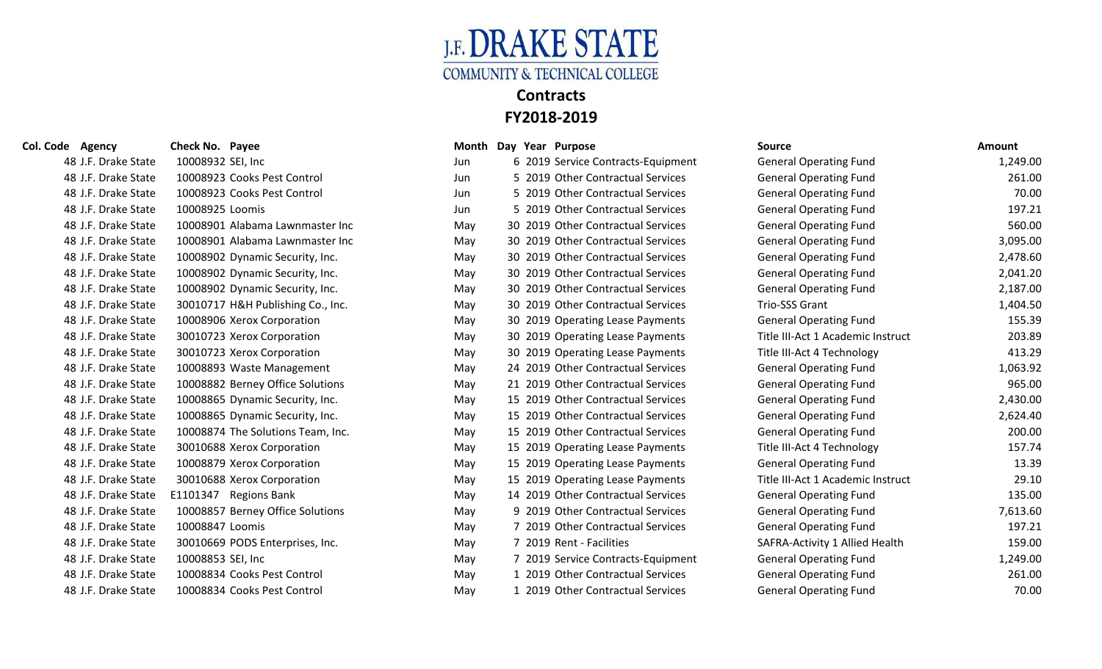

### **Col. Code Agency Check No. Payee Col. Col. Code Agency Col. Code Agency Col. Col. Code Agency** 48 J.F. Drake State 10008923 Cooks Pest Control Jun 5 2019 Other Contractual Services General Association Fund 48 J.F. Drake State 10008923 Cooks Pest Control 1000 Jun 5 2019 Other Contractual Services General Association 48 J.F. Drake State 10008901 Alabama Lawnmaster Inc May 30 2019 Other Contractual Services General Operating Fund 560.00 48 J.F. Drake State 10008901 Alabama Lawnmaster Inc May 30 2019 Other Contractual Services General Operations General A 48 J.F. Drake State 10008902 Dynamic Security, Inc. May 30 2019 Other Contractual Services General Operation Fund 2019 Other Contra 48 J.F. Drake State 10008902 Dynamic Security, Inc. May 30 2019 Other Contractual Services General Operation Services General A, 2019 Other Contractual Services General Operation Services General Operation Services General 48 J.F. Drake State 10008902 Dynamic Security, Inc. May 30 2019 Other Contractual Services General Operation Services General A, 197.000 Services General Operation Fund 2,187.000 Services General Operation Services General 48 J.F. Drake State 30010717 H&H Publishing Co., Inc. May 30 2019 Other Contractual Services Trio-St 48 J.F. Drake State 10008906 Xerox Corporation May 30 2019 Operating Lease Payments General Operating Lease Payments General Operation 48 J.F. Drake State 30010723 Xerox Corporation May 30 2019 Operating Lease Payments Title III-Act 1 Act 2019 Operating Le 48 J.F. Drake State 30010723 Xerox Corporation May 30 2019 Operating Lease Payments Title III-Act 48 J.F. Drake State 48 J.F. Drake State 10008893 Waste Management May 24 2019 Other Contractual Services General Operation Fund 1, 48 J.F. Drake State 10008882 Berney Office Solutions May 21 2019 Other Contractual Services General Operations 48 J.F. Drake State 10008865 Dynamic Security, Inc. May 15 2019 Other Contractual Services General Operation Services General A, 1980. 48 J.F. Drake State 10008865 Dynamic Security, Inc. May 15 2019 Other Contractual Services General Operation Fund 2019 Other Contra 48 J.F. Drake State 10008874 The Solutions Team, Inc. May 15 2019 Other Contractual Services General Operations Fund 200.000 May 15 2019 Other Contra 48 J.F. Drake State 30010688 Xerox Corporation May 15 2019 Operating Lease Payments Title III-Act 4 Technology 48 J.F. Drake State 10008879 Xerox Corporation May 15 2019 Operating Lease Payments General Operating Lease Payments General Operation 48 J.F. Drake State 30010688 Xerox Corporation May 15 2019 Operating Lease Payments Title III 48 J.F. Drake State E1101347 Regions Bank May 14 2019 Other Contractual Services General Operations General Operations General Operations General Operations General Operations Fund 135.000 Services General Operations Gener 48 J.F. Drake State 10008857 Berney Office Solutions May 9 2019 Other Contractual Services General Operations 48 J.F. Drake State 30010669 PODS Enterprises, Inc. May 7 2019 Rent - Facility 48 J.F. Drake State 10008834 Cooks Pest Control May 1 2019 Other Contractual Services General Association Fund

| ie Agency           | Check No. Payee                   |     | ivionth Day Year Purpose           | source                            | Amount   |
|---------------------|-----------------------------------|-----|------------------------------------|-----------------------------------|----------|
| 48 J.F. Drake State | 10008932 SEI, Inc                 | Jun | 6 2019 Service Contracts-Equipment | <b>General Operating Fund</b>     | 1,249.00 |
| 48 J.F. Drake State | 10008923 Cooks Pest Control       | Jun | 5 2019 Other Contractual Services  | <b>General Operating Fund</b>     | 261.00   |
| 48 J.F. Drake State | 10008923 Cooks Pest Control       | Jun | 5 2019 Other Contractual Services  | <b>General Operating Fund</b>     | 70.00    |
| 48 J.F. Drake State | 10008925 Loomis                   | Jun | 5 2019 Other Contractual Services  | <b>General Operating Fund</b>     | 197.21   |
| 48 J.F. Drake State | 10008901 Alabama Lawnmaster Inc   | May | 30 2019 Other Contractual Services | <b>General Operating Fund</b>     | 560.00   |
| 48 J.F. Drake State | 10008901 Alabama Lawnmaster Inc   | May | 30 2019 Other Contractual Services | <b>General Operating Fund</b>     | 3,095.00 |
| 48 J.F. Drake State | 10008902 Dynamic Security, Inc.   | May | 30 2019 Other Contractual Services | <b>General Operating Fund</b>     | 2,478.60 |
| 48 J.F. Drake State | 10008902 Dynamic Security, Inc.   | May | 30 2019 Other Contractual Services | <b>General Operating Fund</b>     | 2,041.20 |
| 48 J.F. Drake State | 10008902 Dynamic Security, Inc.   | May | 30 2019 Other Contractual Services | <b>General Operating Fund</b>     | 2,187.00 |
| 48 J.F. Drake State | 30010717 H&H Publishing Co., Inc. | May | 30 2019 Other Contractual Services | Trio-SSS Grant                    | 1,404.50 |
| 48 J.F. Drake State | 10008906 Xerox Corporation        | May | 30 2019 Operating Lease Payments   | <b>General Operating Fund</b>     | 155.39   |
| 48 J.F. Drake State | 30010723 Xerox Corporation        | May | 30 2019 Operating Lease Payments   | Title III-Act 1 Academic Instruct | 203.89   |
| 48 J.F. Drake State | 30010723 Xerox Corporation        | May | 30 2019 Operating Lease Payments   | Title III-Act 4 Technology        | 413.29   |
| 48 J.F. Drake State | 10008893 Waste Management         | May | 24 2019 Other Contractual Services | <b>General Operating Fund</b>     | 1,063.92 |
| 48 J.F. Drake State | 10008882 Berney Office Solutions  | May | 21 2019 Other Contractual Services | <b>General Operating Fund</b>     | 965.00   |
| 48 J.F. Drake State | 10008865 Dynamic Security, Inc.   | May | 15 2019 Other Contractual Services | <b>General Operating Fund</b>     | 2,430.00 |
| 48 J.F. Drake State | 10008865 Dynamic Security, Inc.   | May | 15 2019 Other Contractual Services | <b>General Operating Fund</b>     | 2,624.40 |
| 48 J.F. Drake State | 10008874 The Solutions Team, Inc. | May | 15 2019 Other Contractual Services | <b>General Operating Fund</b>     | 200.00   |
| 48 J.F. Drake State | 30010688 Xerox Corporation        | May | 15 2019 Operating Lease Payments   | Title III-Act 4 Technology        | 157.74   |
| 48 J.F. Drake State | 10008879 Xerox Corporation        | May | 15 2019 Operating Lease Payments   | <b>General Operating Fund</b>     | 13.39    |
| 48 J.F. Drake State | 30010688 Xerox Corporation        | May | 15 2019 Operating Lease Payments   | Title III-Act 1 Academic Instruct | 29.10    |
| 48 J.F. Drake State | E1101347 Regions Bank             | May | 14 2019 Other Contractual Services | <b>General Operating Fund</b>     | 135.00   |
| 48 J.F. Drake State | 10008857 Berney Office Solutions  | May | 9 2019 Other Contractual Services  | <b>General Operating Fund</b>     | 7,613.60 |
| 48 J.F. Drake State | 10008847 Loomis                   | May | 7 2019 Other Contractual Services  | <b>General Operating Fund</b>     | 197.21   |
| 48 J.F. Drake State | 30010669 PODS Enterprises, Inc.   | May | 7 2019 Rent - Facilities           | SAFRA-Activity 1 Allied Health    | 159.00   |
| 48 J.F. Drake State | 10008853 SEI, Inc                 | May | 7 2019 Service Contracts-Equipment | <b>General Operating Fund</b>     | 1,249.00 |
| 48 J.F. Drake State | 10008834 Cooks Pest Control       | May | 1 2019 Other Contractual Services  | <b>General Operating Fund</b>     | 261.00   |
| 48 J.F. Drake State | 10008834 Cooks Pest Control       | May | 1 2019 Other Contractual Services  | <b>General Operating Fund</b>     | 70.00    |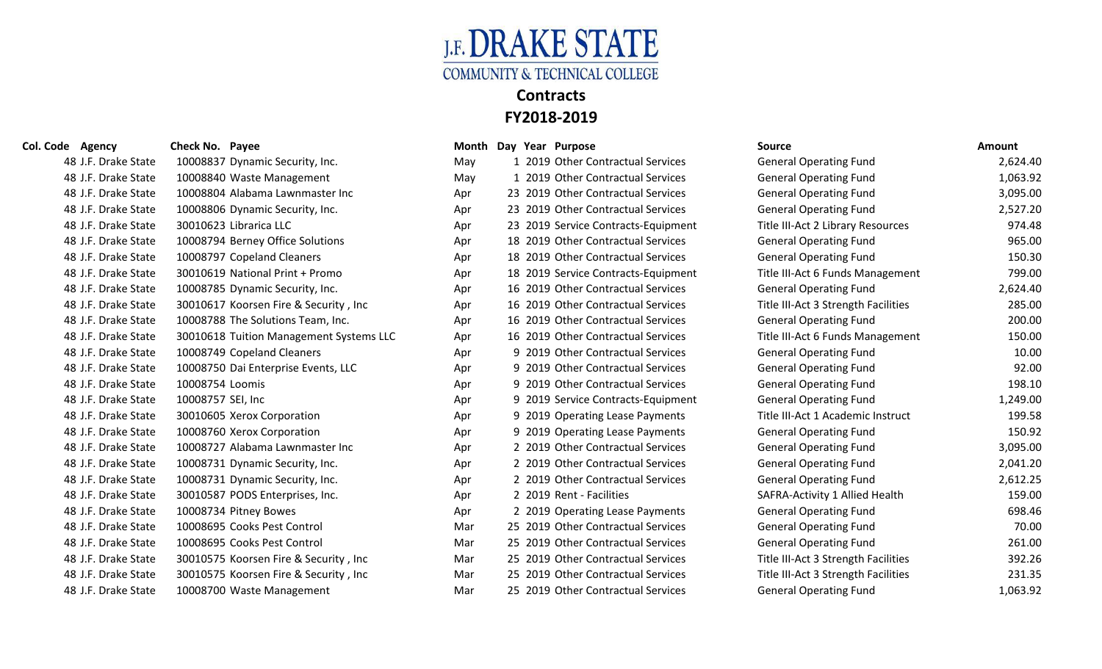

| 48 J.F. Drake State | 10008837 Dynamic Security, Inc.         | May | 1 2019 Other Contractual Services   | <b>General Operating Fund</b>       | 2,624.40 |
|---------------------|-----------------------------------------|-----|-------------------------------------|-------------------------------------|----------|
| 48 J.F. Drake State | 10008840 Waste Management               | May | 1 2019 Other Contractual Services   | <b>General Operating Fund</b>       | 1,063.92 |
| 48 J.F. Drake State | 10008804 Alabama Lawnmaster Inc         | Apr | 23 2019 Other Contractual Services  | <b>General Operating Fund</b>       | 3,095.00 |
| 48 J.F. Drake State | 10008806 Dynamic Security, Inc.         | Apr | 23 2019 Other Contractual Services  | <b>General Operating Fund</b>       | 2,527.20 |
| 48 J.F. Drake State | 30010623 Librarica LLC                  | Apr | 23 2019 Service Contracts-Equipment | Title III-Act 2 Library Resources   | 974.48   |
| 48 J.F. Drake State | 10008794 Berney Office Solutions        | Apr | 18 2019 Other Contractual Services  | <b>General Operating Fund</b>       | 965.00   |
| 48 J.F. Drake State | 10008797 Copeland Cleaners              | Apr | 18 2019 Other Contractual Services  | <b>General Operating Fund</b>       | 150.30   |
| 48 J.F. Drake State | 30010619 National Print + Promo         | Apr | 18 2019 Service Contracts-Equipment | Title III-Act 6 Funds Management    | 799.00   |
| 48 J.F. Drake State | 10008785 Dynamic Security, Inc.         | Apr | 16 2019 Other Contractual Services  | <b>General Operating Fund</b>       | 2,624.40 |
| 48 J.F. Drake State | 30010617 Koorsen Fire & Security, Inc.  | Apr | 16 2019 Other Contractual Services  | Title III-Act 3 Strength Facilities | 285.00   |
| 48 J.F. Drake State | 10008788 The Solutions Team, Inc.       | Apr | 16 2019 Other Contractual Services  | <b>General Operating Fund</b>       | 200.00   |
| 48 J.F. Drake State | 30010618 Tuition Management Systems LLC | Apr | 16 2019 Other Contractual Services  | Title III-Act 6 Funds Management    | 150.00   |
| 48 J.F. Drake State | 10008749 Copeland Cleaners              | Apr | 9 2019 Other Contractual Services   | <b>General Operating Fund</b>       | 10.00    |
| 48 J.F. Drake State | 10008750 Dai Enterprise Events, LLC     | Apr | 9 2019 Other Contractual Services   | <b>General Operating Fund</b>       | 92.00    |
| 48 J.F. Drake State | 10008754 Loomis                         | Apr | 9 2019 Other Contractual Services   | <b>General Operating Fund</b>       | 198.10   |
| 48 J.F. Drake State | 10008757 SEI, Inc                       | Apr | 9 2019 Service Contracts-Equipment  | <b>General Operating Fund</b>       | 1,249.00 |
| 48 J.F. Drake State | 30010605 Xerox Corporation              | Apr | 9 2019 Operating Lease Payments     | Title III-Act 1 Academic Instruct   | 199.58   |
| 48 J.F. Drake State | 10008760 Xerox Corporation              | Apr | 9 2019 Operating Lease Payments     | <b>General Operating Fund</b>       | 150.92   |
| 48 J.F. Drake State | 10008727 Alabama Lawnmaster Inc         | Apr | 2 2019 Other Contractual Services   | <b>General Operating Fund</b>       | 3,095.00 |
| 48 J.F. Drake State | 10008731 Dynamic Security, Inc.         | Apr | 2 2019 Other Contractual Services   | <b>General Operating Fund</b>       | 2,041.20 |
| 48 J.F. Drake State | 10008731 Dynamic Security, Inc.         | Apr | 2 2019 Other Contractual Services   | <b>General Operating Fund</b>       | 2,612.25 |
| 48 J.F. Drake State | 30010587 PODS Enterprises, Inc.         | Apr | 2 2019 Rent - Facilities            | SAFRA-Activity 1 Allied Health      | 159.00   |
| 48 J.F. Drake State | 10008734 Pitney Bowes                   | Apr | 2 2019 Operating Lease Payments     | <b>General Operating Fund</b>       | 698.46   |
| 48 J.F. Drake State | 10008695 Cooks Pest Control             | Mar | 25 2019 Other Contractual Services  | <b>General Operating Fund</b>       | 70.00    |
| 48 J.F. Drake State | 10008695 Cooks Pest Control             | Mar | 25 2019 Other Contractual Services  | <b>General Operating Fund</b>       | 261.00   |
| 48 J.F. Drake State | 30010575 Koorsen Fire & Security, Inc.  | Mar | 25 2019 Other Contractual Services  | Title III-Act 3 Strength Facilities | 392.26   |
| 48 J.F. Drake State | 30010575 Koorsen Fire & Security, Inc.  | Mar | 25 2019 Other Contractual Services  | Title III-Act 3 Strength Facilities | 231.35   |
| 48 J.F. Drake State | 10008700 Waste Management               | Mar | 25 2019 Other Contractual Services  | <b>General Operating Fund</b>       | 1,063.92 |

|                     |     |  | IVIUIILII DAY ITAI FUIPOST          | JUUI LE                             | AIIIUuiit |
|---------------------|-----|--|-------------------------------------|-------------------------------------|-----------|
| curity, Inc.        | May |  | 1 2019 Other Contractual Services   | <b>General Operating Fund</b>       | 2,624.40  |
| agement             | May |  | 1 2019 Other Contractual Services   | <b>General Operating Fund</b>       | 1,063.92  |
| wnmaster Inc        | Apr |  | 23 2019 Other Contractual Services  | <b>General Operating Fund</b>       | 3,095.00  |
| curity, Inc.        | Apr |  | 23 2019 Other Contractual Services  | <b>General Operating Fund</b>       | 2,527.20  |
|                     | Apr |  | 23 2019 Service Contracts-Equipment | Title III-Act 2 Library Resources   | 974.48    |
| ce Solutions        | Apr |  | 18 2019 Other Contractual Services  | <b>General Operating Fund</b>       | 965.00    |
| eaners              | Apr |  | 18 2019 Other Contractual Services  | <b>General Operating Fund</b>       | 150.30    |
| nt + Promo          | Apr |  | 18 2019 Service Contracts-Equipment | Title III-Act 6 Funds Management    | 799.00    |
| curity, Inc.        | Apr |  | 16 2019 Other Contractual Services  | <b>General Operating Fund</b>       | 2,624.40  |
| e & Security , Inc  | Apr |  | 16 2019 Other Contractual Services  | Title III-Act 3 Strength Facilities | 285.00    |
| าร Team, Inc.       | Apr |  | 16 2019 Other Contractual Services  | <b>General Operating Fund</b>       | 200.00    |
| agement Systems LLC | Apr |  | 16 2019 Other Contractual Services  | Title III-Act 6 Funds Management    | 150.00    |
| eaners              | Apr |  | 9 2019 Other Contractual Services   | <b>General Operating Fund</b>       | 10.00     |
| se Events, LLC      | Apr |  | 9 2019 Other Contractual Services   | <b>General Operating Fund</b>       | 92.00     |
|                     | Apr |  | 9 2019 Other Contractual Services   | <b>General Operating Fund</b>       | 198.10    |
|                     | Apr |  | 9 2019 Service Contracts-Equipment  | <b>General Operating Fund</b>       | 1,249.00  |
| oration             | Apr |  | 9 2019 Operating Lease Payments     | Title III-Act 1 Academic Instruct   | 199.58    |
| oration             | Apr |  | 9 2019 Operating Lease Payments     | <b>General Operating Fund</b>       | 150.92    |
| wnmaster Inc        | Apr |  | 2 2019 Other Contractual Services   | <b>General Operating Fund</b>       | 3,095.00  |
| curity, Inc.        | Apr |  | 2 2019 Other Contractual Services   | <b>General Operating Fund</b>       | 2,041.20  |
| curity, Inc.        | Apr |  | 2 2019 Other Contractual Services   | <b>General Operating Fund</b>       | 2,612.25  |
| prises, Inc.        | Apr |  | 2 2019 Rent - Facilities            | SAFRA-Activity 1 Allied Health      | 159.00    |
| ٥S.                 | Apr |  | 2 2019 Operating Lease Payments     | <b>General Operating Fund</b>       | 698.46    |
| Control             | Mar |  | 25 2019 Other Contractual Services  | <b>General Operating Fund</b>       | 70.00     |
| Control             | Mar |  | 25 2019 Other Contractual Services  | <b>General Operating Fund</b>       | 261.00    |
| e & Security , Inc  | Mar |  | 25 2019 Other Contractual Services  | Title III-Act 3 Strength Facilities | 392.26    |
| e & Security , Inc  | Mar |  | 25 2019 Other Contractual Services  | Title III-Act 3 Strength Facilities | 231.35    |
| agement             | Mar |  | 25 2019 Other Contractual Services  | <b>General Operating Fund</b>       | 1,063.92  |

| Col. Code Agency    | Check No. Payee                         |     | Month Day Year Purpose              | <b>Source</b>                       | Amount   |
|---------------------|-----------------------------------------|-----|-------------------------------------|-------------------------------------|----------|
| 48 J.F. Drake State | 10008837 Dynamic Security, Inc.         | May | 1 2019 Other Contractual Services   | <b>General Operating Fund</b>       | 2,624.40 |
| 48 J.F. Drake State | 10008840 Waste Management               | May | 1 2019 Other Contractual Services   | <b>General Operating Fund</b>       | 1,063.92 |
| 48 J.F. Drake State | 10008804 Alabama Lawnmaster Inc         | Apr | 23 2019 Other Contractual Services  | <b>General Operating Fund</b>       | 3,095.00 |
| 48 J.F. Drake State | 10008806 Dynamic Security, Inc.         | Apr | 23 2019 Other Contractual Services  | <b>General Operating Fund</b>       | 2,527.20 |
| 48 J.F. Drake State | 30010623 Librarica LLC                  | Apr | 23 2019 Service Contracts-Equipment | Title III-Act 2 Library Resources   | 974.48   |
| 48 J.F. Drake State | 10008794 Berney Office Solutions        | Apr | 18 2019 Other Contractual Services  | <b>General Operating Fund</b>       | 965.00   |
| 48 J.F. Drake State | 10008797 Copeland Cleaners              | Apr | 18 2019 Other Contractual Services  | <b>General Operating Fund</b>       | 150.30   |
| 48 J.F. Drake State | 30010619 National Print + Promo         | Apr | 18 2019 Service Contracts-Equipment | Title III-Act 6 Funds Management    | 799.00   |
| 48 J.F. Drake State | 10008785 Dynamic Security, Inc.         | Apr | 16 2019 Other Contractual Services  | <b>General Operating Fund</b>       | 2,624.40 |
| 48 J.F. Drake State | 30010617 Koorsen Fire & Security, Inc.  | Apr | 16 2019 Other Contractual Services  | Title III-Act 3 Strength Facilities | 285.00   |
| 48 J.F. Drake State | 10008788 The Solutions Team, Inc.       | Apr | 16 2019 Other Contractual Services  | <b>General Operating Fund</b>       | 200.00   |
| 48 J.F. Drake State | 30010618 Tuition Management Systems LLC | Apr | 16 2019 Other Contractual Services  | Title III-Act 6 Funds Management    | 150.00   |
| 48 J.F. Drake State | 10008749 Copeland Cleaners              | Apr | 9 2019 Other Contractual Services   | <b>General Operating Fund</b>       | 10.00    |
| 48 J.F. Drake State | 10008750 Dai Enterprise Events, LLC     | Apr | 9 2019 Other Contractual Services   | <b>General Operating Fund</b>       | 92.00    |
| 48 J.F. Drake State | 10008754 Loomis                         | Apr | 9 2019 Other Contractual Services   | <b>General Operating Fund</b>       | 198.10   |
| 48 J.F. Drake State | 10008757 SEI, Inc                       | Apr | 9 2019 Service Contracts-Equipment  | <b>General Operating Fund</b>       | 1,249.00 |
| 48 J.F. Drake State | 30010605 Xerox Corporation              | Apr | 9 2019 Operating Lease Payments     | Title III-Act 1 Academic Instruct   | 199.58   |
| 48 J.F. Drake State | 10008760 Xerox Corporation              | Apr | 9 2019 Operating Lease Payments     | <b>General Operating Fund</b>       | 150.92   |
| 48 J.F. Drake State | 10008727 Alabama Lawnmaster Inc         | Apr | 2 2019 Other Contractual Services   | <b>General Operating Fund</b>       | 3,095.00 |
| 48 J.F. Drake State | 10008731 Dynamic Security, Inc.         | Apr | 2 2019 Other Contractual Services   | <b>General Operating Fund</b>       | 2,041.20 |
| 48 J.F. Drake State | 10008731 Dynamic Security, Inc.         | Apr | 2 2019 Other Contractual Services   | <b>General Operating Fund</b>       | 2,612.25 |
| 48 J.F. Drake State | 30010587 PODS Enterprises, Inc.         | Apr | 2 2019 Rent - Facilities            | SAFRA-Activity 1 Allied Health      | 159.00   |
| 48 J.F. Drake State | 10008734 Pitney Bowes                   | Apr | 2 2019 Operating Lease Payments     | <b>General Operating Fund</b>       | 698.46   |
| 48 J.F. Drake State | 10008695 Cooks Pest Control             | Mar | 25 2019 Other Contractual Services  | <b>General Operating Fund</b>       | 70.00    |
| 48 J.F. Drake State | 10008695 Cooks Pest Control             | Mar | 25 2019 Other Contractual Services  | <b>General Operating Fund</b>       | 261.00   |
| 48 J.F. Drake State | 30010575 Koorsen Fire & Security, Inc   | Mar | 25 2019 Other Contractual Services  | Title III-Act 3 Strength Facilities | 392.26   |
| 48 J.F. Drake State | 30010575 Koorsen Fire & Security, Inc   | Mar | 25 2019 Other Contractual Services  | Title III-Act 3 Strength Facilities | 231.35   |
| 48 LE Drake State   | 10008700 Waste Management               | Mar | 25 2019 Other Contractual Services  | <b>General Operating Fund</b>       | 1.063.92 |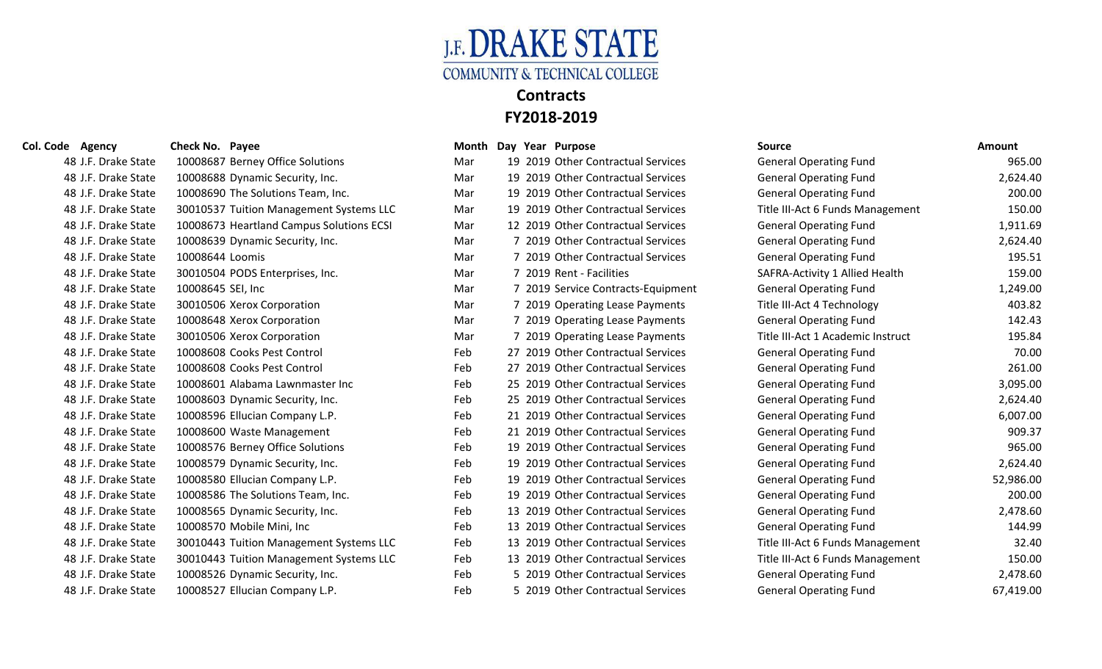

| 48 J.F. Drake State | 10008687 Berney Office Solutions         | Mar | 19 2019 Other Contractual Services | <b>General Operating Fund</b>     | 965.00    |
|---------------------|------------------------------------------|-----|------------------------------------|-----------------------------------|-----------|
| 48 J.F. Drake State | 10008688 Dynamic Security, Inc.          | Mar | 19 2019 Other Contractual Services | <b>General Operating Fund</b>     | 2,624.40  |
| 48 J.F. Drake State | 10008690 The Solutions Team, Inc.        | Mar | 19 2019 Other Contractual Services | <b>General Operating Fund</b>     | 200.00    |
| 48 J.F. Drake State | 30010537 Tuition Management Systems LLC  | Mar | 19 2019 Other Contractual Services | Title III-Act 6 Funds Management  | 150.00    |
| 48 J.F. Drake State | 10008673 Heartland Campus Solutions ECSI | Mar | 12 2019 Other Contractual Services | <b>General Operating Fund</b>     | 1,911.69  |
| 48 J.F. Drake State | 10008639 Dynamic Security, Inc.          | Mar | 7 2019 Other Contractual Services  | <b>General Operating Fund</b>     | 2,624.40  |
| 48 J.F. Drake State | 10008644 Loomis                          | Mar | 7 2019 Other Contractual Services  | <b>General Operating Fund</b>     | 195.51    |
| 48 J.F. Drake State | 30010504 PODS Enterprises, Inc.          | Mar | 7 2019 Rent - Facilities           | SAFRA-Activity 1 Allied Health    | 159.00    |
| 48 J.F. Drake State | 10008645 SEI, Inc                        | Mar | 7 2019 Service Contracts-Equipment | <b>General Operating Fund</b>     | 1,249.00  |
| 48 J.F. Drake State | 30010506 Xerox Corporation               | Mar | 7 2019 Operating Lease Payments    | Title III-Act 4 Technology        | 403.82    |
| 48 J.F. Drake State | 10008648 Xerox Corporation               | Mar | 7 2019 Operating Lease Payments    | <b>General Operating Fund</b>     | 142.43    |
| 48 J.F. Drake State | 30010506 Xerox Corporation               | Mar | 7 2019 Operating Lease Payments    | Title III-Act 1 Academic Instruct | 195.84    |
| 48 J.F. Drake State | 10008608 Cooks Pest Control              | Feb | 27 2019 Other Contractual Services | <b>General Operating Fund</b>     | 70.00     |
| 48 J.F. Drake State | 10008608 Cooks Pest Control              | Feb | 27 2019 Other Contractual Services | <b>General Operating Fund</b>     | 261.00    |
| 48 J.F. Drake State | 10008601 Alabama Lawnmaster Inc          | Feb | 25 2019 Other Contractual Services | <b>General Operating Fund</b>     | 3,095.00  |
| 48 J.F. Drake State | 10008603 Dynamic Security, Inc.          | Feb | 25 2019 Other Contractual Services | <b>General Operating Fund</b>     | 2,624.40  |
| 48 J.F. Drake State | 10008596 Ellucian Company L.P.           | Feb | 21 2019 Other Contractual Services | <b>General Operating Fund</b>     | 6,007.00  |
| 48 J.F. Drake State | 10008600 Waste Management                | Feb | 21 2019 Other Contractual Services | <b>General Operating Fund</b>     | 909.37    |
| 48 J.F. Drake State | 10008576 Berney Office Solutions         | Feb | 19 2019 Other Contractual Services | <b>General Operating Fund</b>     | 965.00    |
| 48 J.F. Drake State | 10008579 Dynamic Security, Inc.          | Feb | 19 2019 Other Contractual Services | <b>General Operating Fund</b>     | 2,624.40  |
| 48 J.F. Drake State | 10008580 Ellucian Company L.P.           | Feb | 19 2019 Other Contractual Services | <b>General Operating Fund</b>     | 52,986.00 |
| 48 J.F. Drake State | 10008586 The Solutions Team, Inc.        | Feb | 19 2019 Other Contractual Services | <b>General Operating Fund</b>     | 200.00    |
| 48 J.F. Drake State | 10008565 Dynamic Security, Inc.          | Feb | 13 2019 Other Contractual Services | <b>General Operating Fund</b>     | 2,478.60  |
| 48 J.F. Drake State | 10008570 Mobile Mini, Inc                | Feb | 13 2019 Other Contractual Services | <b>General Operating Fund</b>     | 144.99    |
| 48 J.F. Drake State | 30010443 Tuition Management Systems LLC  | Feb | 13 2019 Other Contractual Services | Title III-Act 6 Funds Management  | 32.40     |
| 48 J.F. Drake State | 30010443 Tuition Management Systems LLC  | Feb | 13 2019 Other Contractual Services | Title III-Act 6 Funds Management  | 150.00    |
| 48 J.F. Drake State | 10008526 Dynamic Security, Inc.          | Feb | 5 2019 Other Contractual Services  | <b>General Operating Fund</b>     | 2,478.60  |
| 48 J.F. Drake State | 10008527 Ellucian Company L.P.           | Feb | 5 2019 Other Contractual Services  | <b>General Operating Fund</b>     | 67,419.00 |
|                     |                                          |     |                                    |                                   |           |

| Month |                | Day Year Purpose                   |
|-------|----------------|------------------------------------|
| Mar   |                | 19 2019 Other Contractual Services |
| Mar   |                | 19 2019 Other Contractual Services |
| Mar   | 19             | 2019 Other Contractual Services    |
| Mar   |                | 19 2019 Other Contractual Services |
| Mar   |                | 12 2019 Other Contractual Services |
| Mar   | 7              | 2019 Other Contractual Services    |
| Mar   |                | 7 2019 Other Contractual Services  |
| Mar   |                | 7 2019 Rent - Facilities           |
| Mar   |                | 7 2019 Service Contracts-Equipment |
| Mar   | $7^{\circ}$    | 2019 Operating Lease Payments      |
| Mar   | 7 <sup>1</sup> | 2019 Operating Lease Payments      |
| Mar   | $\overline{7}$ | 2019 Operating Lease Payments      |
| Feb   | 27             | 2019 Other Contractual Services    |
| Feb   | 27             | 2019 Other Contractual Services    |
| Feb   |                | 25 2019 Other Contractual Services |
| Feb   |                | 25 2019 Other Contractual Services |
| Feb   |                | 21 2019 Other Contractual Services |
| Feb   |                | 21 2019 Other Contractual Services |
| Feb   |                | 19 2019 Other Contractual Services |
| Feb   |                | 19 2019 Other Contractual Services |
| Feb   |                | 19 2019 Other Contractual Services |
| Feb   | 19             | 2019 Other Contractual Services    |
| Feb   |                | 13 2019 Other Contractual Services |
| Feb   |                | 13 2019 Other Contractual Services |
| Feb   | 13             | 2019 Other Contractual Services    |
| Feb   |                | 13 2019 Other Contractual Services |
| Feb   |                | 5 2019 Other Contractual Services  |
| Feb   |                | 5 2019 Other Contractual Services  |

| Col. Code Agency    | <b>Check No. Payee</b>                   |     | Month Day Year Purpose             | <b>Source</b>                     | <b>Amount</b> |
|---------------------|------------------------------------------|-----|------------------------------------|-----------------------------------|---------------|
| 48 J.F. Drake State | 10008687 Berney Office Solutions         | Mar | 19 2019 Other Contractual Services | <b>General Operating Fund</b>     | 965.00        |
| 48 J.F. Drake State | 10008688 Dynamic Security, Inc.          | Mar | 19 2019 Other Contractual Services | <b>General Operating Fund</b>     | 2,624.40      |
| 48 J.F. Drake State | 10008690 The Solutions Team, Inc.        | Mar | 19 2019 Other Contractual Services | <b>General Operating Fund</b>     | 200.00        |
| 48 J.F. Drake State | 30010537 Tuition Management Systems LLC  | Mar | 19 2019 Other Contractual Services | Title III-Act 6 Funds Management  | 150.00        |
| 48 J.F. Drake State | 10008673 Heartland Campus Solutions ECSI | Mar | 12 2019 Other Contractual Services | <b>General Operating Fund</b>     | 1,911.69      |
| 48 J.F. Drake State | 10008639 Dynamic Security, Inc.          | Mar | 7 2019 Other Contractual Services  | <b>General Operating Fund</b>     | 2,624.40      |
| 48 J.F. Drake State | 10008644 Loomis                          | Mar | 7 2019 Other Contractual Services  | <b>General Operating Fund</b>     | 195.51        |
| 48 J.F. Drake State | 30010504 PODS Enterprises, Inc.          | Mar | 7 2019 Rent - Facilities           | SAFRA-Activity 1 Allied Health    | 159.00        |
| 48 J.F. Drake State | 10008645 SEI, Inc                        | Mar | 7 2019 Service Contracts-Equipment | <b>General Operating Fund</b>     | 1,249.00      |
| 48 J.F. Drake State | 30010506 Xerox Corporation               | Mar | 7 2019 Operating Lease Payments    | Title III-Act 4 Technology        | 403.82        |
| 48 J.F. Drake State | 10008648 Xerox Corporation               | Mar | 7 2019 Operating Lease Payments    | <b>General Operating Fund</b>     | 142.43        |
| 48 J.F. Drake State | 30010506 Xerox Corporation               | Mar | 7 2019 Operating Lease Payments    | Title III-Act 1 Academic Instruct | 195.84        |
| 48 J.F. Drake State | 10008608 Cooks Pest Control              | Feb | 27 2019 Other Contractual Services | <b>General Operating Fund</b>     | 70.00         |
| 48 J.F. Drake State | 10008608 Cooks Pest Control              | Feb | 27 2019 Other Contractual Services | <b>General Operating Fund</b>     | 261.00        |
| 48 J.F. Drake State | 10008601 Alabama Lawnmaster Inc          | Feb | 25 2019 Other Contractual Services | <b>General Operating Fund</b>     | 3,095.00      |
| 48 J.F. Drake State | 10008603 Dynamic Security, Inc.          | Feb | 25 2019 Other Contractual Services | <b>General Operating Fund</b>     | 2,624.40      |
| 48 J.F. Drake State | 10008596 Ellucian Company L.P.           | Feb | 21 2019 Other Contractual Services | <b>General Operating Fund</b>     | 6,007.00      |
| 48 J.F. Drake State | 10008600 Waste Management                | Feb | 21 2019 Other Contractual Services | <b>General Operating Fund</b>     | 909.37        |
| 48 J.F. Drake State | 10008576 Berney Office Solutions         | Feb | 19 2019 Other Contractual Services | <b>General Operating Fund</b>     | 965.00        |
| 48 J.F. Drake State | 10008579 Dynamic Security, Inc.          | Feb | 19 2019 Other Contractual Services | <b>General Operating Fund</b>     | 2,624.40      |
| 48 J.F. Drake State | 10008580 Ellucian Company L.P.           | Feb | 19 2019 Other Contractual Services | <b>General Operating Fund</b>     | 52,986.00     |
| 48 J.F. Drake State | 10008586 The Solutions Team, Inc.        | Feb | 19 2019 Other Contractual Services | <b>General Operating Fund</b>     | 200.00        |
| 48 J.F. Drake State | 10008565 Dynamic Security, Inc.          | Feb | 13 2019 Other Contractual Services | <b>General Operating Fund</b>     | 2,478.60      |
| 48 J.F. Drake State | 10008570 Mobile Mini, Inc                | Feb | 13 2019 Other Contractual Services | <b>General Operating Fund</b>     | 144.99        |
| 48 J.F. Drake State | 30010443 Tuition Management Systems LLC  | Feb | 13 2019 Other Contractual Services | Title III-Act 6 Funds Management  | 32.40         |
| 48 J.F. Drake State | 30010443 Tuition Management Systems LLC  | Feb | 13 2019 Other Contractual Services | Title III-Act 6 Funds Management  | 150.00        |
| 48 J.F. Drake State | 10008526 Dynamic Security, Inc.          | Feb | 5 2019 Other Contractual Services  | <b>General Operating Fund</b>     | 2,478.60      |
| 48 LE Drake State   | 10008527 Ellucian Company L.P.           | Feh | 5 2019 Other Contractual Services  | <b>General Onerating Fund</b>     | 67 419 00     |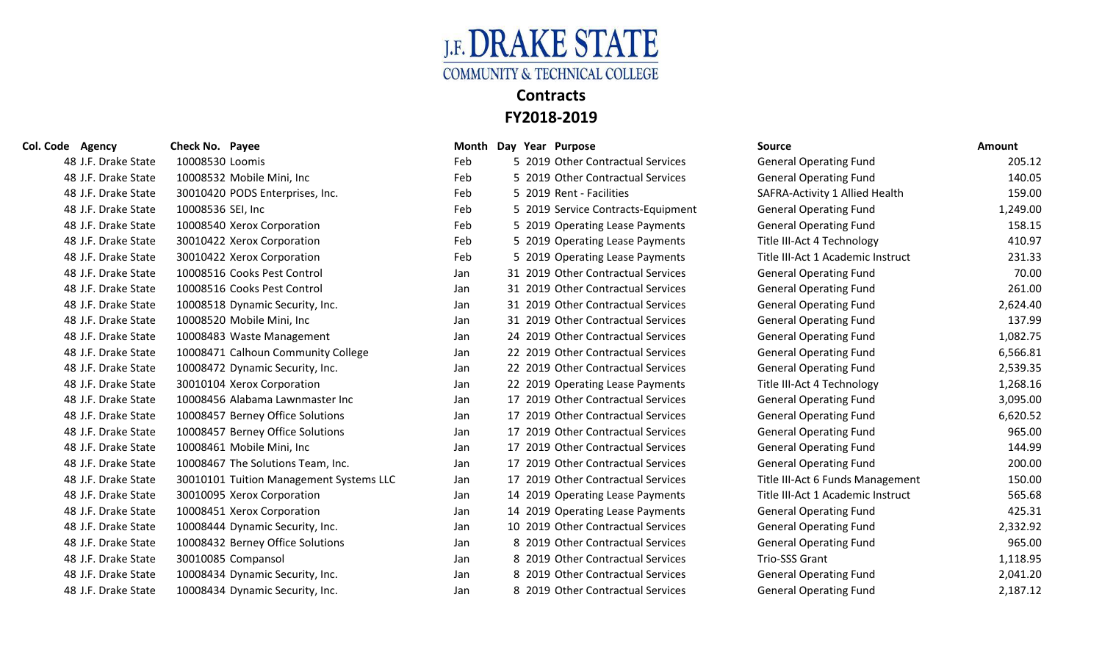

### **Col. Code Agency Check No. Payee Month Day Year Purpose Source Amount** 48 J.F. Drake State 10008530 Loomis Feb 5 2019 Other Contractual Services General Operating Fund 205.12 48 J.F. Drake State 10008532 Mobile Mini, Inc 48 J.F. Drake State 30010420 PODS Enterprises, Inc. 48 J.F. Drake State 10008536 SEI, Inc **Feb** 5 2019 Service Contracts-Equipment General Operating Fund 1,249.00 48 J.F. Drake State 10008540 Xerox Corporation 48 J.F. Drake State 30010422 Xerox Corporation 48 J.F. Drake State 30010422 Xerox Corporation 48 J.F. Drake State 10008516 Cooks Pest Control 48 J.F. Drake State 10008516 Cooks Pest Control 48 J.F. Drake State 10008518 Dynamic Security, Inc. 48 J.F. Drake State 10008520 Mobile Mini, Inc 48 J.F. Drake State 10008483 Waste Management 48 J.F. Drake State 10008471 Calhoun Community College 48 J.F. Drake State 10008472 Dynamic Security, Inc. 48 J.F. Drake State 30010104 Xerox Corporation 48 J.F. Drake State 10008456 Alabama Lawnmaster Inc 48 J.F. Drake State 10008457 Berney Office Solutions 48 J.F. Drake State 10008457 Berney Office Solutions 48 J.F. Drake State 10008461 Mobile Mini, Inc 48 J.F. Drake State 10008467 The Solutions Team, Inc. 48 J.F. Drake State 30010101 Tuition Management Systems LLC 48 J.F. Drake State 30010095 Xerox Corporation 48 J.F. Drake State 10008451 Xerox Corporation 48 J.F. Drake State 10008444 Dynamic Security, Inc. 48 J.F. Drake State 10008432 Berney Office Solutions 48 J.F. Drake State 30010085 Compansol **1,118.95** Jan 8 2019 Other Contractual Services Trio-SSS Grant 1,118.95 48 J.F. Drake State 10008434 Dynamic Security, Inc. 48 J.F. Drake State 10008434 Dynamic Security, Inc.

| Vlonth |    | Day Year Purpose                   |
|--------|----|------------------------------------|
| -eb    |    | 5 2019 Other Contractual Services  |
| -eb    |    | 5 2019 Other Contractual Services  |
| -eb    |    | 5 2019 Rent - Facilities           |
| -eb    |    | 5 2019 Service Contracts-Equipment |
| -eb    |    | 5 2019 Operating Lease Payments    |
| -eb    | 5. | 2019 Operating Lease Payments      |
| -eb    |    | 5 2019 Operating Lease Payments    |
| an     | 31 | 2019 Other Contractual Services    |
| an     |    | 31 2019 Other Contractual Services |
| an     |    | 31 2019 Other Contractual Services |
| an     | 31 | 2019 Other Contractual Services    |
| an     |    | 24 2019 Other Contractual Services |
| an     |    | 22 2019 Other Contractual Services |
| an     | 22 | 2019 Other Contractual Services    |
| an     |    | 22 2019 Operating Lease Payments   |
| an     | 17 | 2019 Other Contractual Services    |
| an     |    | 17 2019 Other Contractual Services |
| an     | 17 | 2019 Other Contractual Services    |
| an     | 17 | 2019 Other Contractual Services    |
| an     |    | 17 2019 Other Contractual Services |
| an     | 17 | 2019 Other Contractual Services    |
| an     | 14 | 2019 Operating Lease Payments      |
| lan    | 14 | 2019 Operating Lease Payments      |
| an     | 10 | 2019 Other Contractual Services    |
| an     |    | 8 2019 Other Contractual Services  |
| an     | 8  | 2019 Other Contractual Services    |
| lan    | 8  | 2019 Other Contractual Services    |
| an     | 8  | 2019 Other Contractual Services    |

| <b>Source</b>                     | <b>Amount</b> |
|-----------------------------------|---------------|
| <b>General Operating Fund</b>     | 205.12        |
| <b>General Operating Fund</b>     | 140.05        |
| SAFRA-Activity 1 Allied Health    | 159.00        |
| <b>General Operating Fund</b>     | 1,249.00      |
| <b>General Operating Fund</b>     | 158.15        |
| Title III-Act 4 Technology        | 410.97        |
| Title III-Act 1 Academic Instruct | 231.33        |
| <b>General Operating Fund</b>     | 70.00         |
| <b>General Operating Fund</b>     | 261.00        |
| <b>General Operating Fund</b>     | 2,624.40      |
| <b>General Operating Fund</b>     | 137.99        |
| <b>General Operating Fund</b>     | 1,082.75      |
| <b>General Operating Fund</b>     | 6,566.81      |
| <b>General Operating Fund</b>     | 2,539.35      |
| Title III-Act 4 Technology        | 1,268.16      |
| <b>General Operating Fund</b>     | 3,095.00      |
| <b>General Operating Fund</b>     | 6,620.52      |
| <b>General Operating Fund</b>     | 965.00        |
| <b>General Operating Fund</b>     | 144.99        |
| <b>General Operating Fund</b>     | 200.00        |
| Title III-Act 6 Funds Management  | 150.00        |
| Title III-Act 1 Academic Instruct | 565.68        |
| <b>General Operating Fund</b>     | 425.31        |
| <b>General Operating Fund</b>     | 2,332.92      |
| <b>General Operating Fund</b>     | 965.00        |
| <b>Trio-SSS Grant</b>             | 1,118.95      |
| <b>General Operating Fund</b>     | 2,041.20      |
| <b>General Operating Fund</b>     | 2,187.12      |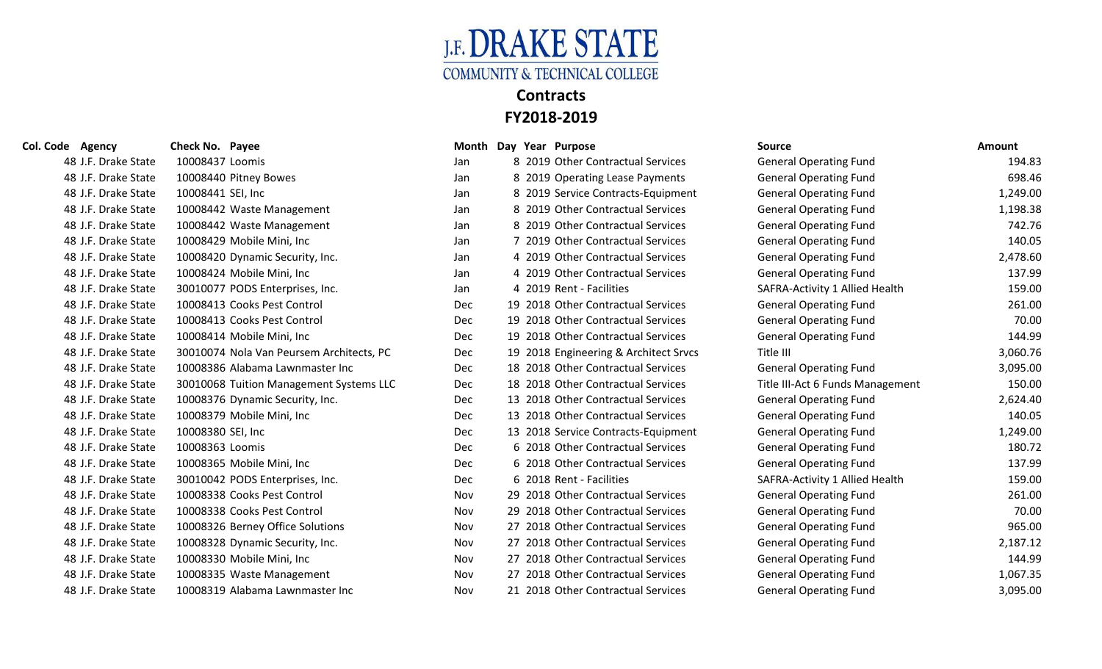

| Col. Code Agency    | Check No. Payee                          | Month Day  | Year Purpose                          | <b>Source</b>                    | Amount   |
|---------------------|------------------------------------------|------------|---------------------------------------|----------------------------------|----------|
| 48 J.F. Drake State | 10008437 Loomis                          | Jan        | 8 2019 Other Contractual Services     | <b>General Operating Fund</b>    | 194.83   |
| 48 J.F. Drake State | 10008440 Pitney Bowes                    | Jan        | 8 2019 Operating Lease Payments       | <b>General Operating Fund</b>    | 698.46   |
| 48 J.F. Drake State | 10008441 SEI, Inc                        | Jan        | 8 2019 Service Contracts-Equipment    | <b>General Operating Fund</b>    | 1,249.00 |
| 48 J.F. Drake State | 10008442 Waste Management                | Jan        | 8 2019 Other Contractual Services     | <b>General Operating Fund</b>    | 1,198.38 |
| 48 J.F. Drake State | 10008442 Waste Management                | Jan        | 8 2019 Other Contractual Services     | <b>General Operating Fund</b>    | 742.76   |
| 48 J.F. Drake State | 10008429 Mobile Mini, Inc                | Jan        | 7 2019 Other Contractual Services     | <b>General Operating Fund</b>    | 140.05   |
| 48 J.F. Drake State | 10008420 Dynamic Security, Inc.          | Jan        | 4 2019 Other Contractual Services     | <b>General Operating Fund</b>    | 2,478.60 |
| 48 J.F. Drake State | 10008424 Mobile Mini, Inc                | Jan        | 4 2019 Other Contractual Services     | <b>General Operating Fund</b>    | 137.99   |
| 48 J.F. Drake State | 30010077 PODS Enterprises, Inc.          | Jan        | 4 2019 Rent - Facilities              | SAFRA-Activity 1 Allied Health   | 159.00   |
| 48 J.F. Drake State | 10008413 Cooks Pest Control              | <b>Dec</b> | 19 2018 Other Contractual Services    | <b>General Operating Fund</b>    | 261.00   |
| 48 J.F. Drake State | 10008413 Cooks Pest Control              | Dec        | 19 2018 Other Contractual Services    | <b>General Operating Fund</b>    | 70.00    |
| 48 J.F. Drake State | 10008414 Mobile Mini, Inc                | Dec        | 19 2018 Other Contractual Services    | <b>General Operating Fund</b>    | 144.99   |
| 48 J.F. Drake State | 30010074 Nola Van Peursem Architects, PC | Dec        | 19 2018 Engineering & Architect Srvcs | Title III                        | 3,060.76 |
| 48 J.F. Drake State | 10008386 Alabama Lawnmaster Inc          | Dec        | 18 2018 Other Contractual Services    | <b>General Operating Fund</b>    | 3,095.00 |
| 48 J.F. Drake State | 30010068 Tuition Management Systems LLC  | <b>Dec</b> | 18 2018 Other Contractual Services    | Title III-Act 6 Funds Management | 150.00   |
| 48 J.F. Drake State | 10008376 Dynamic Security, Inc.          | Dec        | 13 2018 Other Contractual Services    | <b>General Operating Fund</b>    | 2,624.40 |
| 48 J.F. Drake State | 10008379 Mobile Mini, Inc                | Dec        | 13 2018 Other Contractual Services    | <b>General Operating Fund</b>    | 140.05   |
| 48 J.F. Drake State | 10008380 SEI, Inc                        | <b>Dec</b> | 13 2018 Service Contracts-Equipment   | <b>General Operating Fund</b>    | 1,249.00 |
| 48 J.F. Drake State | 10008363 Loomis                          | <b>Dec</b> | 6 2018 Other Contractual Services     | <b>General Operating Fund</b>    | 180.72   |
| 48 J.F. Drake State | 10008365 Mobile Mini, Inc                | Dec        | 6 2018 Other Contractual Services     | <b>General Operating Fund</b>    | 137.99   |
| 48 J.F. Drake State | 30010042 PODS Enterprises, Inc.          | <b>Dec</b> | 6 2018 Rent - Facilities              | SAFRA-Activity 1 Allied Health   | 159.00   |
| 48 J.F. Drake State | 10008338 Cooks Pest Control              | <b>Nov</b> | 29 2018 Other Contractual Services    | <b>General Operating Fund</b>    | 261.00   |
| 48 J.F. Drake State | 10008338 Cooks Pest Control              | Nov        | 29 2018 Other Contractual Services    | <b>General Operating Fund</b>    | 70.00    |
| 48 J.F. Drake State | 10008326 Berney Office Solutions         | Nov        | 27 2018 Other Contractual Services    | <b>General Operating Fund</b>    | 965.00   |
| 48 J.F. Drake State | 10008328 Dynamic Security, Inc.          | Nov        | 27 2018 Other Contractual Services    | <b>General Operating Fund</b>    | 2,187.12 |
| 48 J.F. Drake State | 10008330 Mobile Mini, Inc                | Nov        | 27 2018 Other Contractual Services    | <b>General Operating Fund</b>    | 144.99   |

| le Agency           | Check No. Payee   |                                          |            |  | Month Day Year Purpose                | <b>Source</b>                    | <b>Amount</b> |
|---------------------|-------------------|------------------------------------------|------------|--|---------------------------------------|----------------------------------|---------------|
| 48 J.F. Drake State | 10008437 Loomis   |                                          | Jan        |  | 8 2019 Other Contractual Services     | <b>General Operating Fund</b>    | 194.83        |
| 48 J.F. Drake State |                   | 10008440 Pitney Bowes                    | Jan        |  | 8 2019 Operating Lease Payments       | <b>General Operating Fund</b>    | 698.46        |
| 48 J.F. Drake State | 10008441 SEI, Inc |                                          | Jan        |  | 8 2019 Service Contracts-Equipment    | <b>General Operating Fund</b>    | 1,249.00      |
| 48 J.F. Drake State |                   | 10008442 Waste Management                | Jan        |  | 8 2019 Other Contractual Services     | <b>General Operating Fund</b>    | 1,198.38      |
| 48 J.F. Drake State |                   | 10008442 Waste Management                | Jan        |  | 8 2019 Other Contractual Services     | <b>General Operating Fund</b>    | 742.76        |
| 48 J.F. Drake State |                   | 10008429 Mobile Mini, Inc                | Jan        |  | 7 2019 Other Contractual Services     | <b>General Operating Fund</b>    | 140.05        |
| 48 J.F. Drake State |                   | 10008420 Dynamic Security, Inc.          | Jan        |  | 4 2019 Other Contractual Services     | <b>General Operating Fund</b>    | 2,478.60      |
| 48 J.F. Drake State |                   | 10008424 Mobile Mini, Inc                | Jan        |  | 4 2019 Other Contractual Services     | <b>General Operating Fund</b>    | 137.99        |
| 48 J.F. Drake State |                   | 30010077 PODS Enterprises, Inc.          | Jan        |  | 4 2019 Rent - Facilities              | SAFRA-Activity 1 Allied Health   | 159.00        |
| 48 J.F. Drake State |                   | 10008413 Cooks Pest Control              | Dec        |  | 19 2018 Other Contractual Services    | <b>General Operating Fund</b>    | 261.00        |
| 48 J.F. Drake State |                   | 10008413 Cooks Pest Control              | Dec        |  | 19 2018 Other Contractual Services    | <b>General Operating Fund</b>    | 70.00         |
| 48 J.F. Drake State |                   | 10008414 Mobile Mini, Inc                | Dec        |  | 19 2018 Other Contractual Services    | <b>General Operating Fund</b>    | 144.99        |
| 48 J.F. Drake State |                   | 30010074 Nola Van Peursem Architects, PC | <b>Dec</b> |  | 19 2018 Engineering & Architect Srvcs | Title III                        | 3,060.76      |
| 48 J.F. Drake State |                   | 10008386 Alabama Lawnmaster Inc          | <b>Dec</b> |  | 18 2018 Other Contractual Services    | <b>General Operating Fund</b>    | 3,095.00      |
| 48 J.F. Drake State |                   | 30010068 Tuition Management Systems LLC  | Dec        |  | 18 2018 Other Contractual Services    | Title III-Act 6 Funds Management | 150.00        |
| 48 J.F. Drake State |                   | 10008376 Dynamic Security, Inc.          | Dec        |  | 13 2018 Other Contractual Services    | <b>General Operating Fund</b>    | 2,624.40      |
| 48 J.F. Drake State |                   | 10008379 Mobile Mini, Inc                | Dec        |  | 13 2018 Other Contractual Services    | <b>General Operating Fund</b>    | 140.05        |
| 48 J.F. Drake State | 10008380 SEI, Inc |                                          | Dec        |  | 13 2018 Service Contracts-Equipment   | <b>General Operating Fund</b>    | 1,249.00      |
| 48 J.F. Drake State | 10008363 Loomis   |                                          | Dec        |  | 6 2018 Other Contractual Services     | <b>General Operating Fund</b>    | 180.72        |
| 48 J.F. Drake State |                   | 10008365 Mobile Mini, Inc                | Dec        |  | 6 2018 Other Contractual Services     | <b>General Operating Fund</b>    | 137.99        |
| 48 J.F. Drake State |                   | 30010042 PODS Enterprises, Inc.          | Dec        |  | 6 2018 Rent - Facilities              | SAFRA-Activity 1 Allied Health   | 159.00        |
| 48 J.F. Drake State |                   | 10008338 Cooks Pest Control              | Nov        |  | 29 2018 Other Contractual Services    | <b>General Operating Fund</b>    | 261.00        |
| 48 J.F. Drake State |                   | 10008338 Cooks Pest Control              | Nov        |  | 29 2018 Other Contractual Services    | <b>General Operating Fund</b>    | 70.00         |
| 48 J.F. Drake State |                   | 10008326 Berney Office Solutions         | Nov        |  | 27 2018 Other Contractual Services    | <b>General Operating Fund</b>    | 965.00        |
| 48 J.F. Drake State |                   | 10008328 Dynamic Security, Inc.          | Nov        |  | 27 2018 Other Contractual Services    | <b>General Operating Fund</b>    | 2,187.12      |
| 48 J.F. Drake State |                   | 10008330 Mobile Mini, Inc                | Nov        |  | 27 2018 Other Contractual Services    | <b>General Operating Fund</b>    | 144.99        |
| 48 J.F. Drake State |                   | 10008335 Waste Management                | Nov        |  | 27 2018 Other Contractual Services    | <b>General Operating Fund</b>    | 1,067.35      |
| 48 J.F. Drake State |                   | 10008319 Alabama Lawnmaster Inc          | Nov        |  | 21 2018 Other Contractual Services    | <b>General Operating Fund</b>    | 3,095.00      |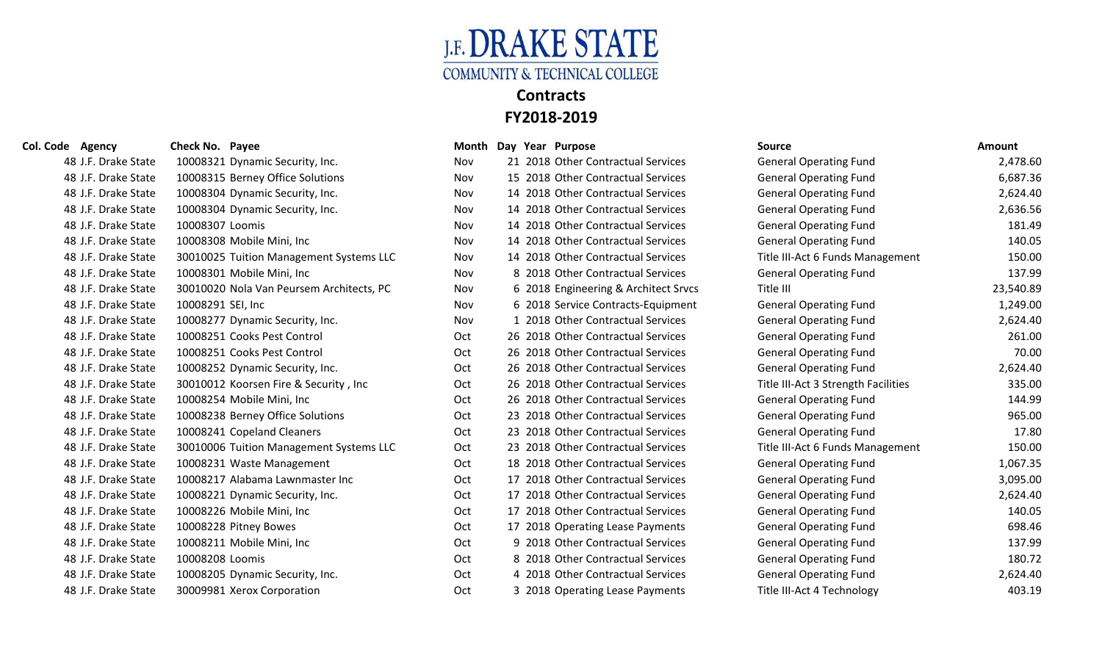

### **Col. Code Agency Check No. Payee Col. Code Agency Col. Code Agency Check No. Payee Source Source COL**

| 48 J.F. Drake State | 10008321 Dynamic Security, Inc.          | Nov        | 2018 Other Contractual Services      | <b>General Operating Fund</b>       | 2,478.60  |
|---------------------|------------------------------------------|------------|--------------------------------------|-------------------------------------|-----------|
| 48 J.F. Drake State | 10008315 Berney Office Solutions         | Nov        | 15 2018 Other Contractual Services   | <b>General Operating Fund</b>       | 6,687.36  |
| 48 J.F. Drake State | 10008304 Dynamic Security, Inc.          | Nov        | 14 2018 Other Contractual Services   | <b>General Operating Fund</b>       | 2,624.40  |
| 48 J.F. Drake State | 10008304 Dynamic Security, Inc.          | Nov        | 14 2018 Other Contractual Services   | <b>General Operating Fund</b>       | 2,636.56  |
| 48 J.F. Drake State | 10008307 Loomis                          | Nov        | 14 2018 Other Contractual Services   | <b>General Operating Fund</b>       | 181.49    |
| 48 J.F. Drake State | 10008308 Mobile Mini, Inc                | <b>Nov</b> | 14 2018 Other Contractual Services   | <b>General Operating Fund</b>       | 140.05    |
| 48 J.F. Drake State | 30010025 Tuition Management Systems LLC  | Nov        | 14 2018 Other Contractual Services   | Title III-Act 6 Funds Management    | 150.00    |
| 48 J.F. Drake State | 10008301 Mobile Mini, Inc                | Nov        | 8 2018 Other Contractual Services    | <b>General Operating Fund</b>       | 137.99    |
| 48 J.F. Drake State | 30010020 Nola Van Peursem Architects, PC | Nov        | 6 2018 Engineering & Architect Srvcs | Title III                           | 23,540.89 |
| 48 J.F. Drake State | 10008291 SEI, Inc                        | Nov        | 6 2018 Service Contracts-Equipment   | <b>General Operating Fund</b>       | 1,249.00  |
| 48 J.F. Drake State | 10008277 Dynamic Security, Inc.          | Nov        | 1 2018 Other Contractual Services    | <b>General Operating Fund</b>       | 2,624.40  |
| 48 J.F. Drake State | 10008251 Cooks Pest Control              | Oct        | 26 2018 Other Contractual Services   | <b>General Operating Fund</b>       | 261.00    |
| 48 J.F. Drake State | 10008251 Cooks Pest Control              | Oct        | 26 2018 Other Contractual Services   | <b>General Operating Fund</b>       | 70.00     |
| 48 J.F. Drake State | 10008252 Dynamic Security, Inc.          | Oct        | 26 2018 Other Contractual Services   | <b>General Operating Fund</b>       | 2,624.40  |
| 48 J.F. Drake State | 30010012 Koorsen Fire & Security, Inc.   | Oct        | 26 2018 Other Contractual Services   | Title III-Act 3 Strength Facilities | 335.00    |
| 48 J.F. Drake State | 10008254 Mobile Mini, Inc                | Oct        | 26 2018 Other Contractual Services   | <b>General Operating Fund</b>       | 144.99    |
| 48 J.F. Drake State | 10008238 Berney Office Solutions         | Oct        | 23 2018 Other Contractual Services   | <b>General Operating Fund</b>       | 965.00    |
| 48 J.F. Drake State | 10008241 Copeland Cleaners               | Oct        | 23 2018 Other Contractual Services   | <b>General Operating Fund</b>       | 17.80     |
| 48 J.F. Drake State | 30010006 Tuition Management Systems LLC  | Oct        | 23 2018 Other Contractual Services   | Title III-Act 6 Funds Management    | 150.00    |
| 48 J.F. Drake State | 10008231 Waste Management                | Oct        | 18 2018 Other Contractual Services   | <b>General Operating Fund</b>       | 1,067.35  |
| 48 J.F. Drake State | 10008217 Alabama Lawnmaster Inc          | Oct        | 17 2018 Other Contractual Services   | <b>General Operating Fund</b>       | 3,095.00  |
| 48 J.F. Drake State | 10008221 Dynamic Security, Inc.          | Oct        | 17 2018 Other Contractual Services   | <b>General Operating Fund</b>       | 2,624.40  |
| 48 J.F. Drake State | 10008226 Mobile Mini, Inc                | Oct        | 17 2018 Other Contractual Services   | <b>General Operating Fund</b>       | 140.05    |
| 48 J.F. Drake State | 10008228 Pitney Bowes                    | Oct        | 17 2018 Operating Lease Payments     | <b>General Operating Fund</b>       | 698.46    |
| 48 J.F. Drake State | 10008211 Mobile Mini, Inc                | Oct        | 9 2018 Other Contractual Services    | <b>General Operating Fund</b>       | 137.99    |
| 48 J.F. Drake State | 10008208 Loomis                          | Oct        | 8 2018 Other Contractual Services    | <b>General Operating Fund</b>       | 180.72    |
| 48 J.F. Drake State | 10008205 Dynamic Security, Inc.          | Oct        | 4 2018 Other Contractual Services    | <b>General Operating Fund</b>       | 2,624.40  |
| 48 J.F. Drake State | 30009981 Xerox Corporation               | Oct        | 3 2018 Operating Lease Payments      | Title III-Act 4 Technology          | 403.19    |

|            |    | VIOIKII DAY ICAI IUIPOSC           |
|------------|----|------------------------------------|
| Vov        |    | 21 2018 Other Contractual Services |
| Vov        |    | 15 2018 Other Contractual Services |
| Vov        |    | 14 2018 Other Contractual Services |
| Vov        |    | 14 2018 Other Contractual Services |
| Vov        |    | 14 2018 Other Contractual Services |
| Vov        |    | 14 2018 Other Contractual Services |
| Vov        |    | 14 2018 Other Contractual Services |
| Vov        | 8  | 2018 Other Contractual Services    |
| Vov        | 6  | 2018 Engineering & Architect Srvcs |
| Vov        | 6  | 2018 Service Contracts-Equipment   |
| Nov        | 1  | 2018 Other Contractual Services    |
| <b>Oct</b> | 26 | 2018 Other Contractual Services    |
| Эct        |    | 26 2018 Other Contractual Services |
| <b>Oct</b> |    | 26 2018 Other Contractual Services |
| Эct        | 26 | 2018 Other Contractual Services    |
| Эct        |    | 26 2018 Other Contractual Services |
| Эct        |    | 23 2018 Other Contractual Services |
| Эct        |    | 23 2018 Other Contractual Services |
| <b>Oct</b> |    | 23 2018 Other Contractual Services |
| Oct        |    | 18 2018 Other Contractual Services |
| Эct        |    | 17 2018 Other Contractual Services |
| Эct        |    | 17 2018 Other Contractual Services |
| <b>Oct</b> | 17 | 2018 Other Contractual Services    |
| <b>Oct</b> |    | 17 2018 Operating Lease Payments   |
| .Ct        | 9  | 2018 Other Contractual Services    |
| Эct        | 8  | 2018 Other Contractual Services    |
| Эct        | 4  | 2018 Other Contractual Services    |
| <b>Oct</b> | 3  | 2018 Operating Lease Payments      |

| <b>Source</b>                       | <b>Amount</b> |
|-------------------------------------|---------------|
| <b>General Operating Fund</b>       | 2,478.60      |
| <b>General Operating Fund</b>       | 6,687.36      |
| <b>General Operating Fund</b>       | 2,624.40      |
| <b>General Operating Fund</b>       | 2,636.56      |
| <b>General Operating Fund</b>       | 181.49        |
| <b>General Operating Fund</b>       | 140.05        |
| Title III-Act 6 Funds Management    | 150.00        |
| <b>General Operating Fund</b>       | 137.99        |
| Title III                           | 23,540.89     |
| <b>General Operating Fund</b>       | 1,249.00      |
| <b>General Operating Fund</b>       | 2,624.40      |
| <b>General Operating Fund</b>       | 261.00        |
| <b>General Operating Fund</b>       | 70.00         |
| <b>General Operating Fund</b>       | 2,624.40      |
| Title III-Act 3 Strength Facilities | 335.00        |
| <b>General Operating Fund</b>       | 144.99        |
| <b>General Operating Fund</b>       | 965.00        |
| <b>General Operating Fund</b>       | 17.80         |
| Title III-Act 6 Funds Management    | 150.00        |
| <b>General Operating Fund</b>       | 1,067.35      |
| <b>General Operating Fund</b>       | 3,095.00      |
| <b>General Operating Fund</b>       | 2,624.40      |
| <b>General Operating Fund</b>       | 140.05        |
| <b>General Operating Fund</b>       | 698.46        |
| <b>General Operating Fund</b>       | 137.99        |
| <b>General Operating Fund</b>       | 180.72        |
| <b>General Operating Fund</b>       | 2,624.40      |
| Title III-Act 4 Technology          | 403.19        |